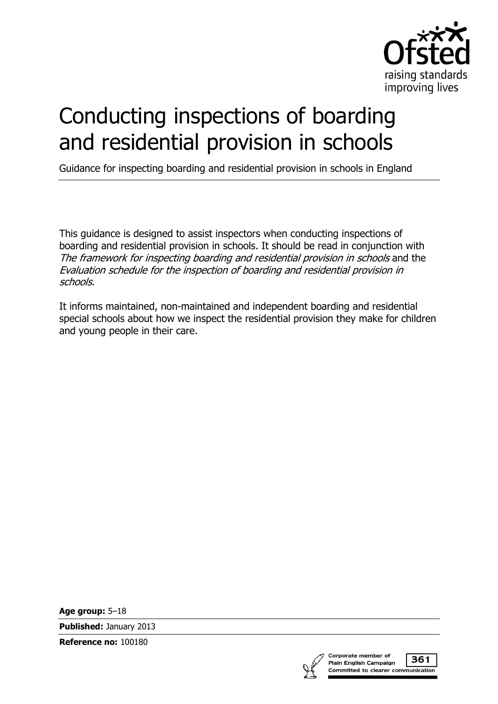

# Conducting inspections of boarding and residential provision in schools

Guidance for inspecting boarding and residential provision in schools in England

This guidance is designed to assist inspectors when conducting inspections of boarding and residential provision in schools. It should be read in conjunction with The framework for inspecting boarding and residential provision in schools and the Evaluation schedule for the inspection of boarding and residential provision in schools.

It informs maintained, non-maintained and independent boarding and residential special schools about how we inspect the residential provision they make for children and young people in their care.

**Age group:** 5–18

**Published:** January 2013

**Reference no:** 100180



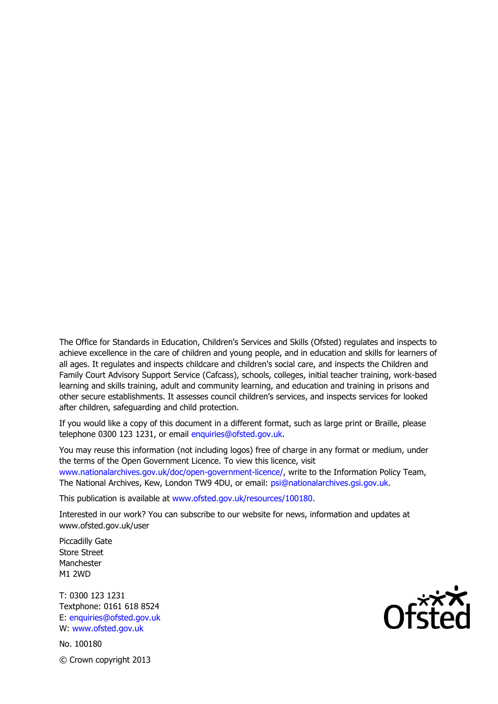The Office for Standards in Education, Children's Services and Skills (Ofsted) regulates and inspects to achieve excellence in the care of children and young people, and in education and skills for learners of all ages. It regulates and inspects childcare and children's social care, and inspects the Children and Family Court Advisory Support Service (Cafcass), schools, colleges, initial teacher training, work-based learning and skills training, adult and community learning, and education and training in prisons and other secure establishments. It assesses council children's services, and inspects services for looked after children, safeguarding and child protection.

If you would like a copy of this document in a different format, such as large print or Braille, please telephone 0300 123 1231, or email enquiries@ofsted.gov.uk.

You may reuse this information (not including logos) free of charge in any format or medium, under the terms of the Open Government Licence. To view this licence, visit www.nationalarchives.gov.uk/doc/open-government-licence/, write to the Information Policy Team, The National Archives, Kew, London TW9 4DU, or email: psi@nationalarchives.gsi.gov.uk.

This publication is available at www.ofsted.gov.uk/resources/100180.

Interested in our work? You can subscribe to our website for news, information and updates at www.ofsted.gov.uk/user

Piccadilly Gate Store Street Manchester M1 2WD

T: 0300 123 1231 Textphone: 0161 618 8524 E: enquiries@ofsted.gov.uk W: www.ofsted.gov.uk

No. 100180 © Crown copyright 2013

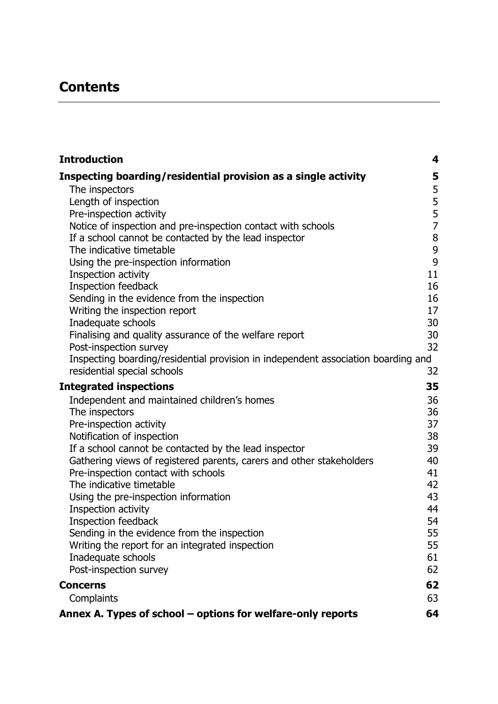# **Contents**

| <b>Introduction</b>                                                               | 4           |
|-----------------------------------------------------------------------------------|-------------|
| Inspecting boarding/residential provision as a single activity                    | 5           |
| The inspectors                                                                    | 5           |
| Length of inspection                                                              |             |
| Pre-inspection activity                                                           | 5<br>5<br>7 |
| Notice of inspection and pre-inspection contact with schools                      |             |
| If a school cannot be contacted by the lead inspector                             | $\bf 8$     |
| The indicative timetable                                                          | 9           |
| Using the pre-inspection information                                              | 9           |
| Inspection activity                                                               | 11          |
| Inspection feedback                                                               | 16          |
| Sending in the evidence from the inspection                                       | 16          |
| Writing the inspection report                                                     | 17          |
| Inadequate schools                                                                | 30          |
| Finalising and quality assurance of the welfare report<br>Post-inspection survey  | 30<br>32    |
| Inspecting boarding/residential provision in independent association boarding and |             |
| residential special schools                                                       | 32          |
|                                                                                   | 35          |
| <b>Integrated inspections</b>                                                     |             |
| Independent and maintained children's homes<br>The inspectors                     | 36<br>36    |
| Pre-inspection activity                                                           | 37          |
| Notification of inspection                                                        | 38          |
| If a school cannot be contacted by the lead inspector                             | 39          |
| Gathering views of registered parents, carers and other stakeholders              | 40          |
| Pre-inspection contact with schools                                               | 41          |
| The indicative timetable                                                          | 42          |
| Using the pre-inspection information                                              | 43          |
| Inspection activity                                                               | 44          |
| Inspection feedback                                                               | 54          |
| Sending in the evidence from the inspection                                       | 55          |
| Writing the report for an integrated inspection                                   | 55          |
| Inadequate schools                                                                | 61          |
| Post-inspection survey                                                            | 62          |
| <b>Concerns</b>                                                                   | 62          |
| Complaints                                                                        | 63          |
| Annex A. Types of school - options for welfare-only reports                       | 64          |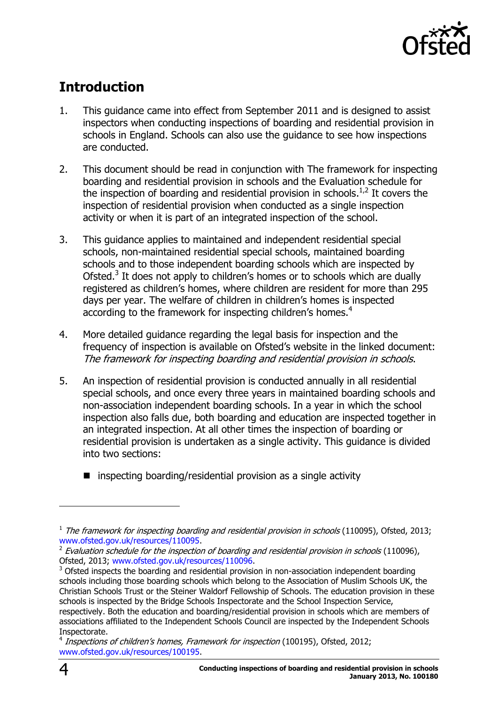

# <span id="page-3-0"></span>**Introduction**

- 1. This guidance came into effect from September 2011 and is designed to assist inspectors when conducting inspections of boarding and residential provision in schools in England. Schools can also use the guidance to see how inspections are conducted.
- 2. This document should be read in conjunction with The framework for inspecting boarding and residential provision in schools and the Evaluation schedule for the inspection of boarding and residential provision in schools.<sup>1,2</sup> It covers the inspection of residential provision when conducted as a single inspection activity or when it is part of an integrated inspection of the school.
- 3. This guidance applies to maintained and independent residential special schools, non-maintained residential special schools, maintained boarding schools and to those independent boarding schools which are inspected by Ofsted.<sup>3</sup> It does not apply to children's homes or to schools which are dually registered as children's homes, where children are resident for more than 295 days per year. The welfare of children in children's homes is inspected according to the framework for inspecting children's homes.<sup>4</sup>
- 4. More detailed guidance regarding the legal basis for inspection and the frequency of inspection is available on Ofsted's website in the linked document: The framework for inspecting boarding and residential provision in schools.
- 5. An inspection of residential provision is conducted annually in all residential special schools, and once every three years in maintained boarding schools and non-association independent boarding schools. In a year in which the school inspection also falls due, both boarding and education are inspected together in an integrated inspection. At all other times the inspection of boarding or residential provision is undertaken as a single activity. This guidance is divided into two sections:
	- $\blacksquare$  inspecting boarding/residential provision as a single activity

 $\overline{a}$ 

 $<sup>1</sup>$  The framework for inspecting boarding and residential provision in schools (110095), Ofsted, 2013;</sup> [www.ofsted.gov.uk/resources/110095.](http://www.ofsted.gov.uk/resources/110095)

 $^2$  Evaluation schedule for the inspection of boarding and residential provision in schools (110096), Ofsted, 2013; [www.ofsted.gov.uk/resources/110096.](http://www.ofsted.gov.uk/resources/110096)

 $3$  Ofsted inspects the boarding and residential provision in non-association independent boarding schools including those boarding schools which belong to the Association of Muslim Schools UK, the Christian Schools Trust or the Steiner Waldorf Fellowship of Schools. The education provision in these schools is inspected by the Bridge Schools Inspectorate and the School Inspection Service, respectively. Both the education and boarding/residential provision in schools which are members of associations affiliated to the Independent Schools Council are inspected by the Independent Schools Inspectorate.

<sup>&</sup>lt;sup>4</sup> Inspections of children's homes, Framework for inspection (100195), Ofsted, 2012; [www.ofsted.gov.uk/resources/100195.](http://www.ofsted.gov.uk/resources/100195)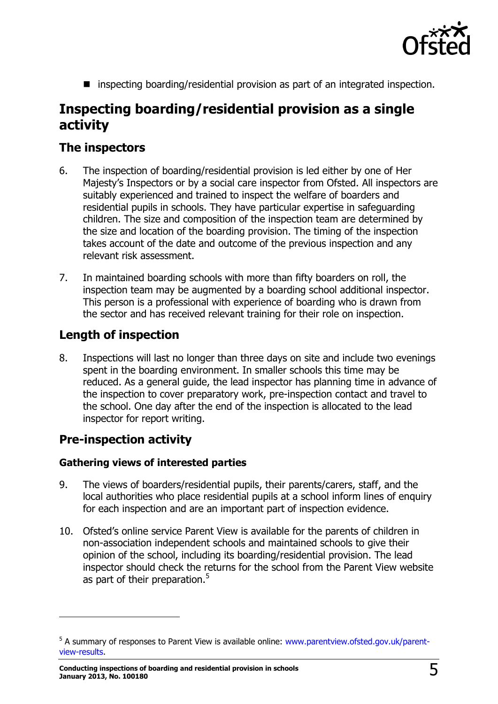

■ inspecting boarding/residential provision as part of an integrated inspection.

# <span id="page-4-0"></span>**Inspecting boarding/residential provision as a single activity**

## <span id="page-4-1"></span>**The inspectors**

- 6. The inspection of boarding/residential provision is led either by one of Her Majesty's Inspectors or by a social care inspector from Ofsted. All inspectors are suitably experienced and trained to inspect the welfare of boarders and residential pupils in schools. They have particular expertise in safeguarding children. The size and composition of the inspection team are determined by the size and location of the boarding provision. The timing of the inspection takes account of the date and outcome of the previous inspection and any relevant risk assessment.
- 7. In maintained boarding schools with more than fifty boarders on roll, the inspection team may be augmented by a boarding school additional inspector. This person is a professional with experience of boarding who is drawn from the sector and has received relevant training for their role on inspection.

# <span id="page-4-2"></span>**Length of inspection**

8. Inspections will last no longer than three days on site and include two evenings spent in the boarding environment. In smaller schools this time may be reduced. As a general guide, the lead inspector has planning time in advance of the inspection to cover preparatory work, pre-inspection contact and travel to the school. One day after the end of the inspection is allocated to the lead inspector for report writing.

# <span id="page-4-3"></span>**Pre-inspection activity**

j

#### **Gathering views of interested parties**

- 9. The views of boarders/residential pupils, their parents/carers, staff, and the local authorities who place residential pupils at a school inform lines of enquiry for each inspection and are an important part of inspection evidence.
- 10. Ofsted's online service Parent View is available for the parents of children in non-association independent schools and maintained schools to give their opinion of the school, including its boarding/residential provision. The lead inspector should check the returns for the school from the Parent View website as part of their preparation.<sup>5</sup>

<sup>&</sup>lt;sup>5</sup> A summary of responses to Parent View is available online: [www.parentview.ofsted.gov.uk/parent](http://www.parentview.ofsted.gov.uk/parent-view-results)[view-results.](http://www.parentview.ofsted.gov.uk/parent-view-results)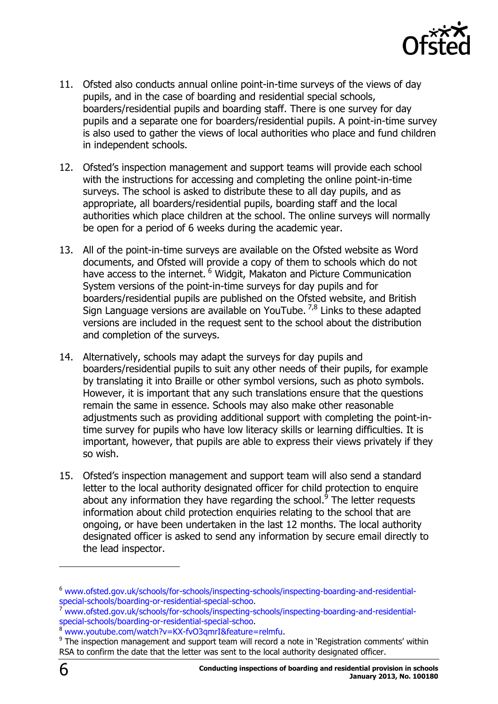

- 11. Ofsted also conducts annual online point-in-time surveys of the views of day pupils, and in the case of boarding and residential special schools, boarders/residential pupils and boarding staff. There is one survey for day pupils and a separate one for boarders/residential pupils. A point-in-time survey is also used to gather the views of local authorities who place and fund children in independent schools.
- 12. Ofsted's inspection management and support teams will provide each school with the instructions for accessing and completing the online point-in-time surveys. The school is asked to distribute these to all day pupils, and as appropriate, all boarders/residential pupils, boarding staff and the local authorities which place children at the school. The online surveys will normally be open for a period of 6 weeks during the academic year.
- 13. All of the point-in-time surveys are available on the Ofsted website as Word documents, and Ofsted will provide a copy of them to schools which do not have access to the internet. <sup>6</sup> Widgit, Makaton and Picture Communication System versions of the point-in-time surveys for day pupils and for boarders/residential pupils are published on the Ofsted website, and British Sign Language versions are available on YouTube.  $^{7,8}$  Links to these adapted versions are included in the request sent to the school about the distribution and completion of the surveys.
- 14. Alternatively, schools may adapt the surveys for day pupils and boarders/residential pupils to suit any other needs of their pupils, for example by translating it into Braille or other symbol versions, such as photo symbols. However, it is important that any such translations ensure that the questions remain the same in essence. Schools may also make other reasonable adjustments such as providing additional support with completing the point-intime survey for pupils who have low literacy skills or learning difficulties. It is important, however, that pupils are able to express their views privately if they so wish.
- 15. Ofsted's inspection management and support team will also send a standard letter to the local authority designated officer for child protection to enquire about any information they have regarding the school.<sup>9</sup> The letter requests information about child protection enquiries relating to the school that are ongoing, or have been undertaken in the last 12 months. The local authority designated officer is asked to send any information by secure email directly to the lead inspector.

j

<sup>6</sup> [www.ofsted.gov.uk/schools/for-schools/inspecting-schools/inspecting-boarding-and-residential](http://www.ofsted.gov.uk/schools/for-schools/inspecting-schools/inspecting-boarding-and-residential-special-schools/boarding-or-residential-special-schoo)[special-schools/boarding-or-residential-special-schoo.](http://www.ofsted.gov.uk/schools/for-schools/inspecting-schools/inspecting-boarding-and-residential-special-schools/boarding-or-residential-special-schoo)

<sup>7</sup> [www.ofsted.gov.uk/schools/for-schools/inspecting-schools/inspecting-boarding-and-residential](http://www.ofsted.gov.uk/schools/for-schools/inspecting-schools/inspecting-boarding-and-residential-special-schools/boarding-or-residential-special-schoo)[special-schools/boarding-or-residential-special-schoo.](http://www.ofsted.gov.uk/schools/for-schools/inspecting-schools/inspecting-boarding-and-residential-special-schools/boarding-or-residential-special-schoo)

[www.youtube.com/watch?v=KX-fvO3qmrI&feature=relmfu.](http://www.youtube.com/watch?v=KX-fvO3qmrI&feature=relmfu)

 $9$  The inspection management and support team will record a note in 'Registration comments' within RSA to confirm the date that the letter was sent to the local authority designated officer.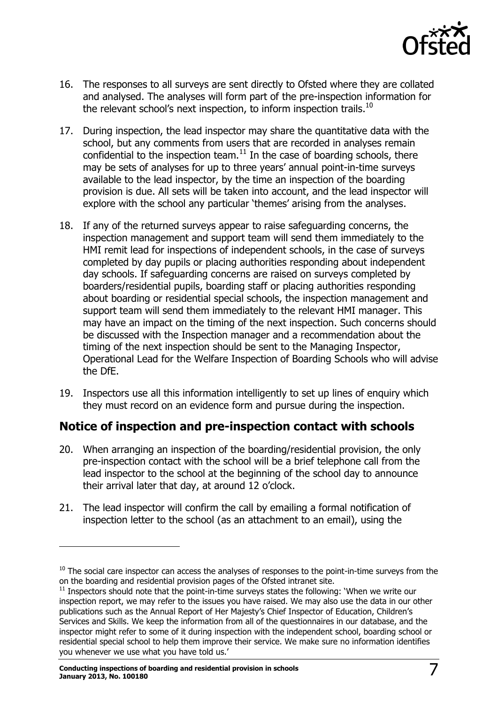

- 16. The responses to all surveys are sent directly to Ofsted where they are collated and analysed. The analyses will form part of the pre-inspection information for the relevant school's next inspection, to inform inspection trails.<sup>10</sup>
- 17. During inspection, the lead inspector may share the quantitative data with the school, but any comments from users that are recorded in analyses remain confidential to the inspection team.<sup>11</sup> In the case of boarding schools, there may be sets of analyses for up to three years' annual point-in-time surveys available to the lead inspector, by the time an inspection of the boarding provision is due. All sets will be taken into account, and the lead inspector will explore with the school any particular 'themes' arising from the analyses.
- 18. If any of the returned surveys appear to raise safeguarding concerns, the inspection management and support team will send them immediately to the HMI remit lead for inspections of independent schools, in the case of surveys completed by day pupils or placing authorities responding about independent day schools. If safeguarding concerns are raised on surveys completed by boarders/residential pupils, boarding staff or placing authorities responding about boarding or residential special schools, the inspection management and support team will send them immediately to the relevant HMI manager. This may have an impact on the timing of the next inspection. Such concerns should be discussed with the Inspection manager and a recommendation about the timing of the next inspection should be sent to the Managing Inspector, Operational Lead for the Welfare Inspection of Boarding Schools who will advise the DfE.
- 19. Inspectors use all this information intelligently to set up lines of enquiry which they must record on an evidence form and pursue during the inspection.

## <span id="page-6-0"></span>**Notice of inspection and pre-inspection contact with schools**

- 20. When arranging an inspection of the boarding/residential provision, the only pre-inspection contact with the school will be a brief telephone call from the lead inspector to the school at the beginning of the school day to announce their arrival later that day, at around 12 o'clock.
- 21. The lead inspector will confirm the call by emailing a formal notification of inspection letter to the school (as an attachment to an email), using the

 $\overline{a}$ 

 $10$  The social care inspector can access the analyses of responses to the point-in-time surveys from the on the boarding and residential provision pages of the Ofsted intranet site.

 $11$  Inspectors should note that the point-in-time surveys states the following: 'When we write our inspection report, we may refer to the issues you have raised. We may also use the data in our other publications such as the Annual Report of Her Majesty's Chief Inspector of Education, Children's Services and Skills. We keep the information from all of the questionnaires in our database, and the inspector might refer to some of it during inspection with the independent school, boarding school or residential special school to help them improve their service. We make sure no information identifies you whenever we use what you have told us.'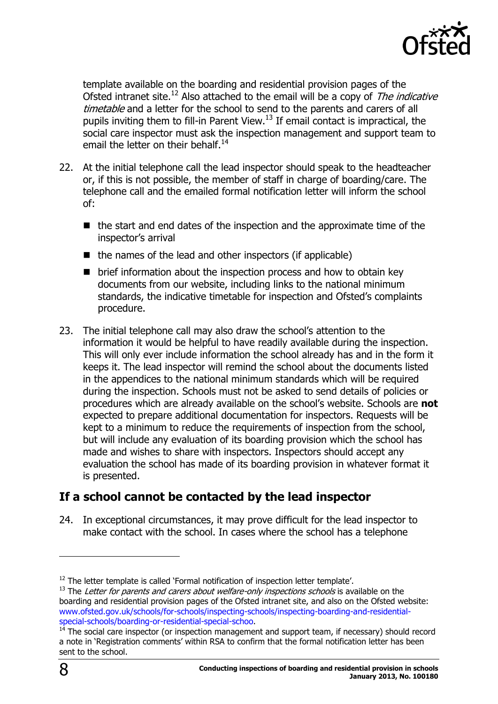

template available on the boarding and residential provision pages of the Ofsted intranet site.<sup>12</sup> Also attached to the email will be a copy of The indicative timetable and a letter for the school to send to the parents and carers of all pupils inviting them to fill-in Parent View.<sup>13</sup> If email contact is impractical, the social care inspector must ask the inspection management and support team to email the letter on their behalf.<sup>14</sup>

- 22. At the initial telephone call the lead inspector should speak to the headteacher or, if this is not possible, the member of staff in charge of boarding/care. The telephone call and the emailed formal notification letter will inform the school of:
	- $\blacksquare$  the start and end dates of the inspection and the approximate time of the inspector's arrival
	- $\blacksquare$  the names of the lead and other inspectors (if applicable)
	- $\blacksquare$  brief information about the inspection process and how to obtain key documents from our website, including links to the national minimum standards, the indicative timetable for inspection and Ofsted's complaints procedure.
- 23. The initial telephone call may also draw the school's attention to the information it would be helpful to have readily available during the inspection. This will only ever include information the school already has and in the form it keeps it. The lead inspector will remind the school about the documents listed in the appendices to the national minimum standards which will be required during the inspection. Schools must not be asked to send details of policies or procedures which are already available on the school's website. Schools are **not** expected to prepare additional documentation for inspectors. Requests will be kept to a minimum to reduce the requirements of inspection from the school, but will include any evaluation of its boarding provision which the school has made and wishes to share with inspectors. Inspectors should accept any evaluation the school has made of its boarding provision in whatever format it is presented.

# <span id="page-7-0"></span>**If a school cannot be contacted by the lead inspector**

24. In exceptional circumstances, it may prove difficult for the lead inspector to make contact with the school. In cases where the school has a telephone

 $\overline{a}$ 

 $12$  The letter template is called 'Formal notification of inspection letter template'.

 $13$  The Letter for parents and carers about welfare-only inspections schools is available on the boarding and residential provision pages of the Ofsted intranet site, and also on the Ofsted website: [www.ofsted.gov.uk/schools/for-schools/inspecting-schools/inspecting-boarding-and-residential](http://www.ofsted.gov.uk/schools/for-schools/inspecting-schools/inspecting-boarding-and-residential-special-schools/boarding-or-residential-special-schoo)[special-schools/boarding-or-residential-special-schoo.](http://www.ofsted.gov.uk/schools/for-schools/inspecting-schools/inspecting-boarding-and-residential-special-schools/boarding-or-residential-special-schoo)

 $14$  The social care inspector (or inspection management and support team, if necessary) should record a note in 'Registration comments' within RSA to confirm that the formal notification letter has been sent to the school.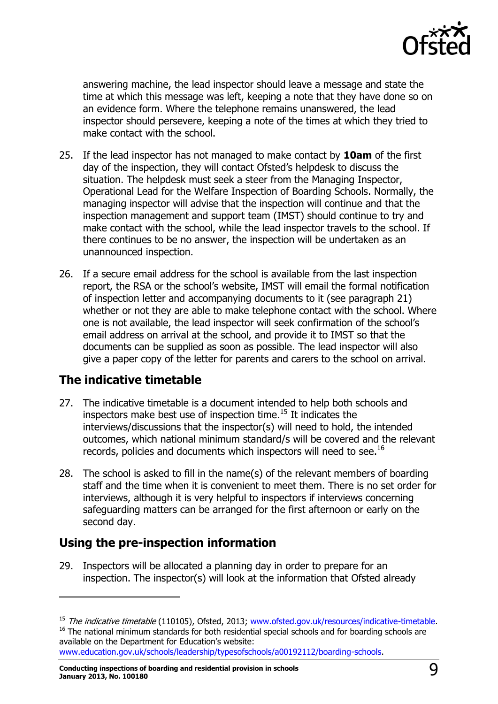

answering machine, the lead inspector should leave a message and state the time at which this message was left, keeping a note that they have done so on an evidence form. Where the telephone remains unanswered, the lead inspector should persevere, keeping a note of the times at which they tried to make contact with the school.

- 25. If the lead inspector has not managed to make contact by **10am** of the first day of the inspection, they will contact Ofsted's helpdesk to discuss the situation. The helpdesk must seek a steer from the Managing Inspector, Operational Lead for the Welfare Inspection of Boarding Schools. Normally, the managing inspector will advise that the inspection will continue and that the inspection management and support team (IMST) should continue to try and make contact with the school, while the lead inspector travels to the school. If there continues to be no answer, the inspection will be undertaken as an unannounced inspection.
- 26. If a secure email address for the school is available from the last inspection report, the RSA or the school's website, IMST will email the formal notification of inspection letter and accompanying documents to it (see paragraph 21) whether or not they are able to make telephone contact with the school. Where one is not available, the lead inspector will seek confirmation of the school's email address on arrival at the school, and provide it to IMST so that the documents can be supplied as soon as possible. The lead inspector will also give a paper copy of the letter for parents and carers to the school on arrival.

# <span id="page-8-0"></span>**The indicative timetable**

-

- 27. The indicative timetable is a document intended to help both schools and inspectors make best use of inspection time. <sup>15</sup> It indicates the interviews/discussions that the inspector(s) will need to hold, the intended outcomes, which national minimum standard/s will be covered and the relevant records, policies and documents which inspectors will need to see.<sup>16</sup>
- 28. The school is asked to fill in the name(s) of the relevant members of boarding staff and the time when it is convenient to meet them. There is no set order for interviews, although it is very helpful to inspectors if interviews concerning safeguarding matters can be arranged for the first afternoon or early on the second day.

# <span id="page-8-1"></span>**Using the pre-inspection information**

29. Inspectors will be allocated a planning day in order to prepare for an inspection. The inspector(s) will look at the information that Ofsted already

[www.education.gov.uk/schools/leadership/typesofschools/a00192112/boarding-schools.](http://www.education.gov.uk/schools/leadership/typesofschools/a00192112/boarding-schools)

<sup>&</sup>lt;sup>15</sup> The indicative timetable (110105), Ofsted, 2013; [www.ofsted.gov.uk/resources/indicative-timetable.](http://www.ofsted.gov.uk/resources/indicative-timetable) <sup>16</sup> The national minimum standards for both residential special schools and for boarding schools are available on the Department for Education's website: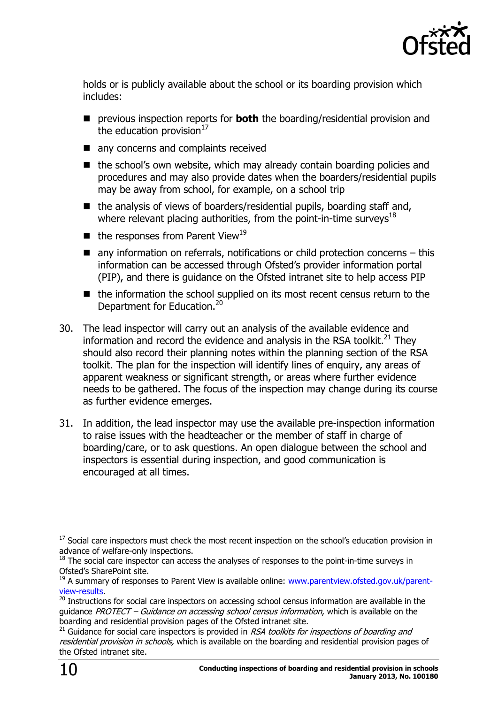

holds or is publicly available about the school or its boarding provision which includes:

- previous inspection reports for **both** the boarding/residential provision and the education provision $17$
- any concerns and complaints received
- the school's own website, which may already contain boarding policies and procedures and may also provide dates when the boarders/residential pupils may be away from school, for example, on a school trip
- $\blacksquare$  the analysis of views of boarders/residential pupils, boarding staff and, where relevant placing authorities, from the point-in-time surveys<sup>18</sup>
- $\blacksquare$  the responses from Parent View<sup>19</sup>
- $\blacksquare$  any information on referrals, notifications or child protection concerns this information can be accessed through Ofsted's provider information portal (PIP), and there is guidance on the Ofsted intranet site to help access PIP
- $\blacksquare$  the information the school supplied on its most recent census return to the Department for Education.<sup>20</sup>
- 30. The lead inspector will carry out an analysis of the available evidence and information and record the evidence and analysis in the RSA toolkit. $^{21}$  They should also record their planning notes within the planning section of the RSA toolkit. The plan for the inspection will identify lines of enquiry, any areas of apparent weakness or significant strength, or areas where further evidence needs to be gathered. The focus of the inspection may change during its course as further evidence emerges.
- 31. In addition, the lead inspector may use the available pre-inspection information to raise issues with the headteacher or the member of staff in charge of boarding/care, or to ask questions. An open dialogue between the school and inspectors is essential during inspection, and good communication is encouraged at all times.

j

 $17$  Social care inspectors must check the most recent inspection on the school's education provision in advance of welfare-only inspections.

 $18$  The social care inspector can access the analyses of responses to the point-in-time surveys in Ofsted's SharePoint site.

<sup>&</sup>lt;sup>19</sup> A summary of responses to Parent View is available online: [www.parentview.ofsted.gov.uk/parent](http://www.parentview.ofsted.gov.uk/parent-view-results)[view-results.](http://www.parentview.ofsted.gov.uk/parent-view-results)

<sup>&</sup>lt;sup>20</sup> Instructions for social care inspectors on accessing school census information are available in the guidance PROTECT – Guidance on accessing school census information, which is available on the boarding and residential provision pages of the Ofsted intranet site.

 $21$  Guidance for social care inspectors is provided in RSA toolkits for inspections of boarding and residential provision in schools, which is available on the boarding and residential provision pages of the Ofsted intranet site.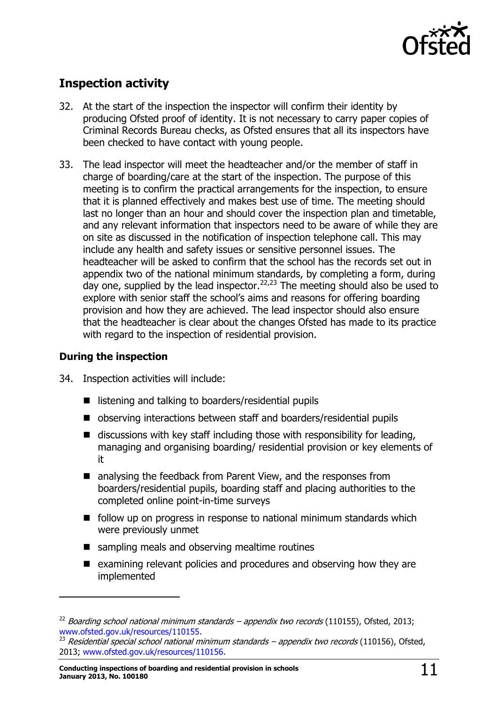

# <span id="page-10-0"></span>**Inspection activity**

- 32. At the start of the inspection the inspector will confirm their identity by producing Ofsted proof of identity. It is not necessary to carry paper copies of Criminal Records Bureau checks, as Ofsted ensures that all its inspectors have been checked to have contact with young people.
- 33. The lead inspector will meet the headteacher and/or the member of staff in charge of boarding/care at the start of the inspection. The purpose of this meeting is to confirm the practical arrangements for the inspection, to ensure that it is planned effectively and makes best use of time. The meeting should last no longer than an hour and should cover the inspection plan and timetable, and any relevant information that inspectors need to be aware of while they are on site as discussed in the notification of inspection telephone call. This may include any health and safety issues or sensitive personnel issues. The headteacher will be asked to confirm that the school has the records set out in appendix two of the national minimum standards, by completing a form, during day one, supplied by the lead inspector.<sup>22,23</sup> The meeting should also be used to explore with senior staff the school's aims and reasons for offering boarding provision and how they are achieved. The lead inspector should also ensure that the headteacher is clear about the changes Ofsted has made to its practice with regard to the inspection of residential provision.

#### **During the inspection**

-

- 34. Inspection activities will include:
	- listening and talking to boarders/residential pupils
	- observing interactions between staff and boarders/residential pupils
	- $\blacksquare$  discussions with key staff including those with responsibility for leading, managing and organising boarding/ residential provision or key elements of it
	- analysing the feedback from Parent View, and the responses from boarders/residential pupils, boarding staff and placing authorities to the completed online point-in-time surveys
	- follow up on progress in response to national minimum standards which were previously unmet
	- sampling meals and observing mealtime routines
	- $\blacksquare$  examining relevant policies and procedures and observing how they are implemented

 $22$  Boarding school national minimum standards – appendix two records (110155), Ofsted, 2013; [www.ofsted.gov.uk/resources/110155.](http://www.ofsted.gov.uk/resources/110155)

 $^{23}$  Residential special school national minimum standards – appendix two records (110156), Ofsted, 2013; [www.ofsted.gov.uk/resources/110156.](http://www.ofsted.gov.uk/resources/110156)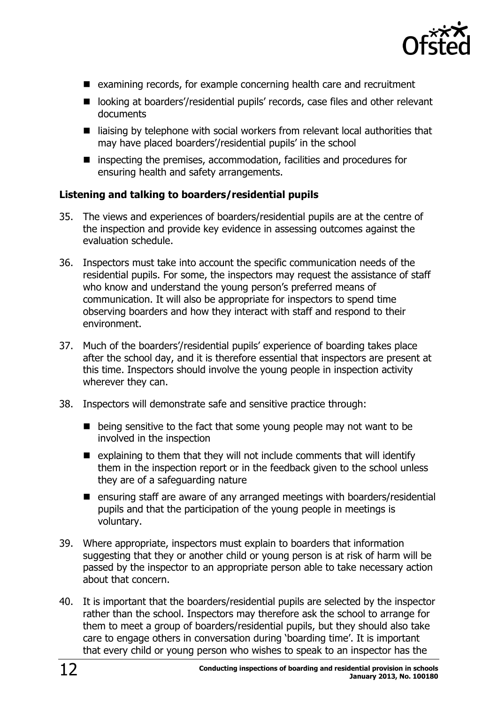

- examining records, for example concerning health care and recruitment
- looking at boarders'/residential pupils' records, case files and other relevant documents
- $\blacksquare$  liaising by telephone with social workers from relevant local authorities that may have placed boarders'/residential pupils' in the school
- inspecting the premises, accommodation, facilities and procedures for ensuring health and safety arrangements.

#### **Listening and talking to boarders/residential pupils**

- 35. The views and experiences of boarders/residential pupils are at the centre of the inspection and provide key evidence in assessing outcomes against the evaluation schedule.
- 36. Inspectors must take into account the specific communication needs of the residential pupils. For some, the inspectors may request the assistance of staff who know and understand the young person's preferred means of communication. It will also be appropriate for inspectors to spend time observing boarders and how they interact with staff and respond to their environment.
- 37. Much of the boarders'/residential pupils' experience of boarding takes place after the school day, and it is therefore essential that inspectors are present at this time. Inspectors should involve the young people in inspection activity wherever they can.
- 38. Inspectors will demonstrate safe and sensitive practice through:
	- $\blacksquare$  being sensitive to the fact that some young people may not want to be involved in the inspection
	- $\blacksquare$  explaining to them that they will not include comments that will identify them in the inspection report or in the feedback given to the school unless they are of a safeguarding nature
	- **E** ensuring staff are aware of any arranged meetings with boarders/residential pupils and that the participation of the young people in meetings is voluntary.
- 39. Where appropriate, inspectors must explain to boarders that information suggesting that they or another child or young person is at risk of harm will be passed by the inspector to an appropriate person able to take necessary action about that concern.
- 40. It is important that the boarders/residential pupils are selected by the inspector rather than the school. Inspectors may therefore ask the school to arrange for them to meet a group of boarders/residential pupils, but they should also take care to engage others in conversation during 'boarding time'. It is important that every child or young person who wishes to speak to an inspector has the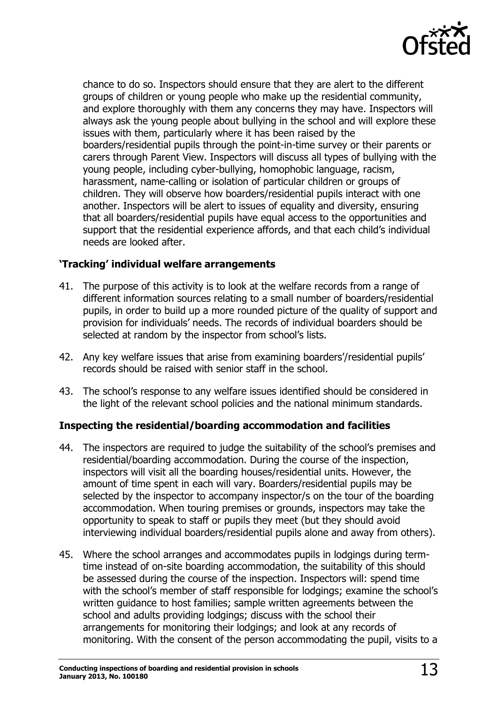

chance to do so. Inspectors should ensure that they are alert to the different groups of children or young people who make up the residential community, and explore thoroughly with them any concerns they may have. Inspectors will always ask the young people about bullying in the school and will explore these issues with them, particularly where it has been raised by the boarders/residential pupils through the point-in-time survey or their parents or carers through Parent View. Inspectors will discuss all types of bullying with the young people, including cyber-bullying, homophobic language, racism, harassment, name-calling or isolation of particular children or groups of children. They will observe how boarders/residential pupils interact with one another. Inspectors will be alert to issues of equality and diversity, ensuring that all boarders/residential pupils have equal access to the opportunities and support that the residential experience affords, and that each child's individual needs are looked after.

#### **'Tracking' individual welfare arrangements**

- 41. The purpose of this activity is to look at the welfare records from a range of different information sources relating to a small number of boarders/residential pupils, in order to build up a more rounded picture of the quality of support and provision for individuals' needs. The records of individual boarders should be selected at random by the inspector from school's lists.
- 42. Any key welfare issues that arise from examining boarders'/residential pupils' records should be raised with senior staff in the school.
- 43. The school's response to any welfare issues identified should be considered in the light of the relevant school policies and the national minimum standards.

#### **Inspecting the residential/boarding accommodation and facilities**

- 44. The inspectors are required to judge the suitability of the school's premises and residential/boarding accommodation. During the course of the inspection, inspectors will visit all the boarding houses/residential units. However, the amount of time spent in each will vary. Boarders/residential pupils may be selected by the inspector to accompany inspector/s on the tour of the boarding accommodation. When touring premises or grounds, inspectors may take the opportunity to speak to staff or pupils they meet (but they should avoid interviewing individual boarders/residential pupils alone and away from others).
- 45. Where the school arranges and accommodates pupils in lodgings during termtime instead of on-site boarding accommodation, the suitability of this should be assessed during the course of the inspection. Inspectors will: spend time with the school's member of staff responsible for lodgings; examine the school's written guidance to host families; sample written agreements between the school and adults providing lodgings; discuss with the school their arrangements for monitoring their lodgings; and look at any records of monitoring. With the consent of the person accommodating the pupil, visits to a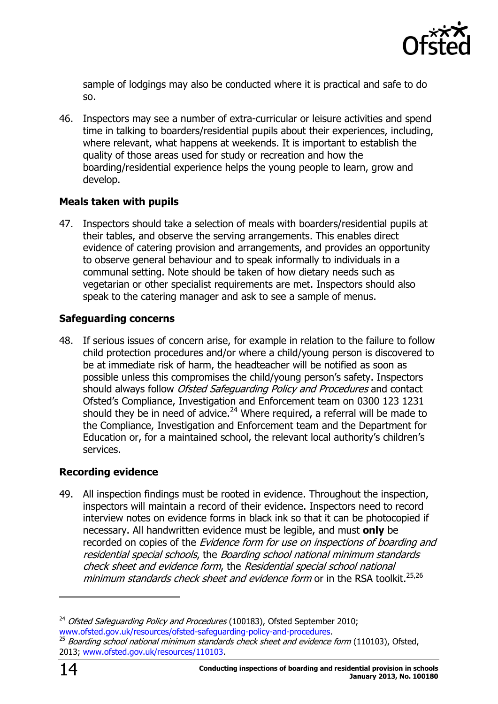

sample of lodgings may also be conducted where it is practical and safe to do so.

46. Inspectors may see a number of extra-curricular or leisure activities and spend time in talking to boarders/residential pupils about their experiences, including, where relevant, what happens at weekends. It is important to establish the quality of those areas used for study or recreation and how the boarding/residential experience helps the young people to learn, grow and develop.

#### **Meals taken with pupils**

47. Inspectors should take a selection of meals with boarders/residential pupils at their tables, and observe the serving arrangements. This enables direct evidence of catering provision and arrangements, and provides an opportunity to observe general behaviour and to speak informally to individuals in a communal setting. Note should be taken of how dietary needs such as vegetarian or other specialist requirements are met. Inspectors should also speak to the catering manager and ask to see a sample of menus.

#### **Safeguarding concerns**

48. If serious issues of concern arise, for example in relation to the failure to follow child protection procedures and/or where a child/young person is discovered to be at immediate risk of harm, the headteacher will be notified as soon as possible unless this compromises the child/young person's safety. Inspectors should always follow *Ofsted Safeguarding Policy and Procedures* and contact Ofsted's Compliance, Investigation and Enforcement team on 0300 123 1231 should they be in need of advice.<sup>24</sup> Where required, a referral will be made to the Compliance, Investigation and Enforcement team and the Department for Education or, for a maintained school, the relevant local authority's children's services.

#### **Recording evidence**

49. All inspection findings must be rooted in evidence. Throughout the inspection, inspectors will maintain a record of their evidence. Inspectors need to record interview notes on evidence forms in black ink so that it can be photocopied if necessary. All handwritten evidence must be legible, and must **only** be recorded on copies of the *Evidence form for use on inspections of boarding and* residential special schools, the Boarding school national minimum standards check sheet and evidence form, the Residential special school national minimum standards check sheet and evidence form or in the RSA toolkit.<sup>25,26</sup>

-

<sup>&</sup>lt;sup>24</sup> Ofsted Safeguarding Policy and Procedures (100183), Ofsted September 2010; [www.ofsted.gov.uk/resources/ofsted-safeguarding-policy-and-procedures.](http://www.ofsted.gov.uk/resources/ofsted-safeguarding-policy-and-procedures)

Boarding school national minimum standards check sheet and evidence form (110103), Ofsted, 2013; [www.ofsted.gov.uk/resources/110103.](http://www.ofsted.gov.uk/resources/110103)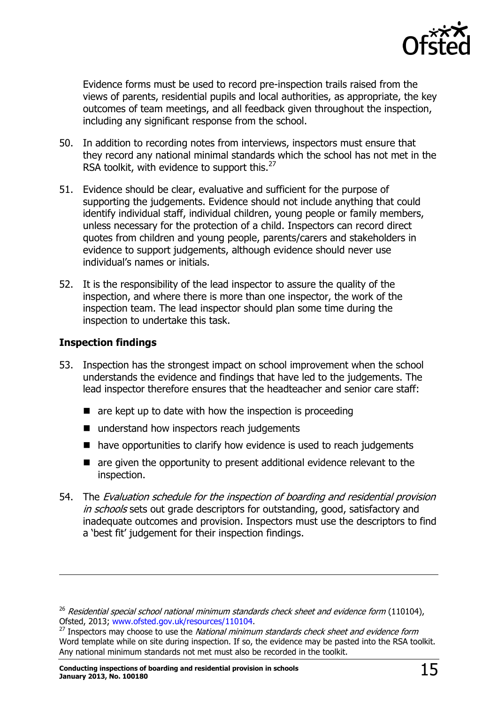

Evidence forms must be used to record pre-inspection trails raised from the views of parents, residential pupils and local authorities, as appropriate, the key outcomes of team meetings, and all feedback given throughout the inspection, including any significant response from the school.

- 50. In addition to recording notes from interviews, inspectors must ensure that they record any national minimal standards which the school has not met in the RSA toolkit, with evidence to support this.<sup>27</sup>
- 51. Evidence should be clear, evaluative and sufficient for the purpose of supporting the judgements. Evidence should not include anything that could identify individual staff, individual children, young people or family members, unless necessary for the protection of a child. Inspectors can record direct quotes from children and young people, parents/carers and stakeholders in evidence to support judgements, although evidence should never use individual's names or initials.
- 52. It is the responsibility of the lead inspector to assure the quality of the inspection, and where there is more than one inspector, the work of the inspection team. The lead inspector should plan some time during the inspection to undertake this task.

#### **Inspection findings**

 $\overline{a}$ 

- 53. Inspection has the strongest impact on school improvement when the school understands the evidence and findings that have led to the judgements. The lead inspector therefore ensures that the headteacher and senior care staff:
	- $\blacksquare$  are kept up to date with how the inspection is proceeding
	- understand how inspectors reach judgements
	- have opportunities to clarify how evidence is used to reach judgements
	- $\blacksquare$  are given the opportunity to present additional evidence relevant to the inspection.
- 54. The Evaluation schedule for the inspection of boarding and residential provision in schools sets out grade descriptors for outstanding, good, satisfactory and inadequate outcomes and provision. Inspectors must use the descriptors to find a 'best fit' judgement for their inspection findings.

 $26$  Residential special school national minimum standards check sheet and evidence form (110104), Ofsted, 2013; [www.ofsted.gov.uk/resources/110104.](http://www.ofsted.gov.uk/resources/110104)

 $^{27}$  Inspectors may choose to use the National minimum standards check sheet and evidence form Word template while on site during inspection. If so, the evidence may be pasted into the RSA toolkit. Any national minimum standards not met must also be recorded in the toolkit.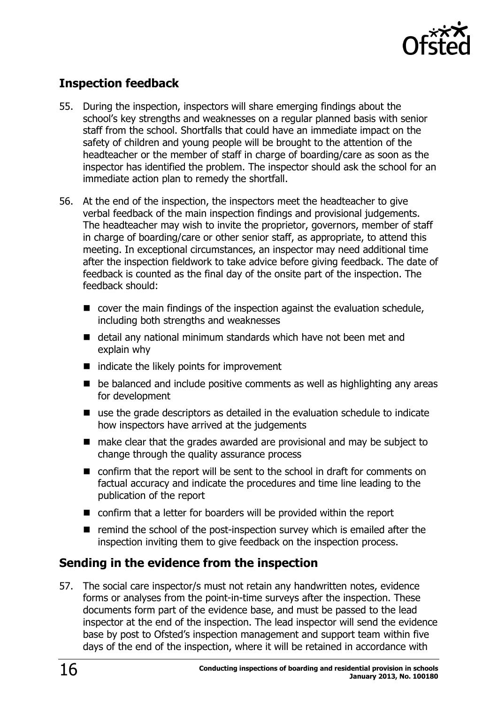

# <span id="page-15-0"></span>**Inspection feedback**

- 55. During the inspection, inspectors will share emerging findings about the school's key strengths and weaknesses on a regular planned basis with senior staff from the school. Shortfalls that could have an immediate impact on the safety of children and young people will be brought to the attention of the headteacher or the member of staff in charge of boarding/care as soon as the inspector has identified the problem. The inspector should ask the school for an immediate action plan to remedy the shortfall.
- 56. At the end of the inspection, the inspectors meet the headteacher to give verbal feedback of the main inspection findings and provisional judgements. The headteacher may wish to invite the proprietor, governors, member of staff in charge of boarding/care or other senior staff, as appropriate, to attend this meeting. In exceptional circumstances, an inspector may need additional time after the inspection fieldwork to take advice before giving feedback. The date of feedback is counted as the final day of the onsite part of the inspection. The feedback should:
	- cover the main findings of the inspection against the evaluation schedule, including both strengths and weaknesses
	- detail any national minimum standards which have not been met and explain why
	- $\blacksquare$  indicate the likely points for improvement
	- be balanced and include positive comments as well as highlighting any areas for development
	- use the grade descriptors as detailed in the evaluation schedule to indicate how inspectors have arrived at the judgements
	- make clear that the grades awarded are provisional and may be subject to change through the quality assurance process
	- confirm that the report will be sent to the school in draft for comments on factual accuracy and indicate the procedures and time line leading to the publication of the report
	- confirm that a letter for boarders will be provided within the report
	- $\blacksquare$  remind the school of the post-inspection survey which is emailed after the inspection inviting them to give feedback on the inspection process.

## <span id="page-15-1"></span>**Sending in the evidence from the inspection**

57. The social care inspector/s must not retain any handwritten notes, evidence forms or analyses from the point-in-time surveys after the inspection. These documents form part of the evidence base, and must be passed to the lead inspector at the end of the inspection. The lead inspector will send the evidence base by post to Ofsted's inspection management and support team within five days of the end of the inspection, where it will be retained in accordance with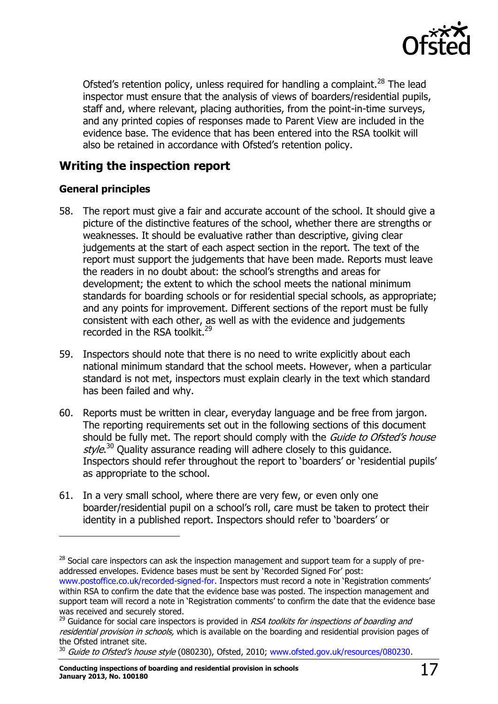

Ofsted's retention policy, unless required for handling a complaint.<sup>28</sup> The lead inspector must ensure that the analysis of views of boarders/residential pupils, staff and, where relevant, placing authorities, from the point-in-time surveys, and any printed copies of responses made to Parent View are included in the evidence base. The evidence that has been entered into the RSA toolkit will also be retained in accordance with Ofsted's retention policy.

# <span id="page-16-0"></span>**Writing the inspection report**

#### **General principles**

 $\overline{a}$ 

- 58. The report must give a fair and accurate account of the school. It should give a picture of the distinctive features of the school, whether there are strengths or weaknesses. It should be evaluative rather than descriptive, giving clear judgements at the start of each aspect section in the report. The text of the report must support the judgements that have been made. Reports must leave the readers in no doubt about: the school's strengths and areas for development; the extent to which the school meets the national minimum standards for boarding schools or for residential special schools, as appropriate; and any points for improvement. Different sections of the report must be fully consistent with each other, as well as with the evidence and judgements recorded in the RSA toolkit.<sup>29</sup>
- 59. Inspectors should note that there is no need to write explicitly about each national minimum standard that the school meets. However, when a particular standard is not met, inspectors must explain clearly in the text which standard has been failed and why.
- 60. Reports must be written in clear, everyday language and be free from jargon. The reporting requirements set out in the following sections of this document should be fully met. The report should comply with the Guide to Ofsted's house style.<sup>30</sup> Quality assurance reading will adhere closely to this guidance. Inspectors should refer throughout the report to 'boarders' or 'residential pupils' as appropriate to the school.
- 61. In a very small school, where there are very few, or even only one boarder/residential pupil on a school's roll, care must be taken to protect their identity in a published report. Inspectors should refer to 'boarders' or

 $28$  Social care inspectors can ask the inspection management and support team for a supply of preaddressed envelopes. Evidence bases must be sent by 'Recorded Signed For' post: [www.postoffice.co.uk/recorded-signed-for](http://www.postoffice.co.uk/recorded-signed-for). Inspectors must record a note in 'Registration comments' within RSA to confirm the date that the evidence base was posted. The inspection management and support team will record a note in 'Registration comments' to confirm the date that the evidence base was received and securely stored.

 $^{29}$  Guidance for social care inspectors is provided in RSA toolkits for inspections of boarding and residential provision in schools, which is available on the boarding and residential provision pages of the Ofsted intranet site.

<sup>&</sup>lt;sup>30</sup> Guide to Ofsted's house style (080230), Ofsted, 2010; [www.ofsted.gov.uk/resources/080230.](http://www.ofsted.gov.uk/resources/guide-ofsteds-house-style)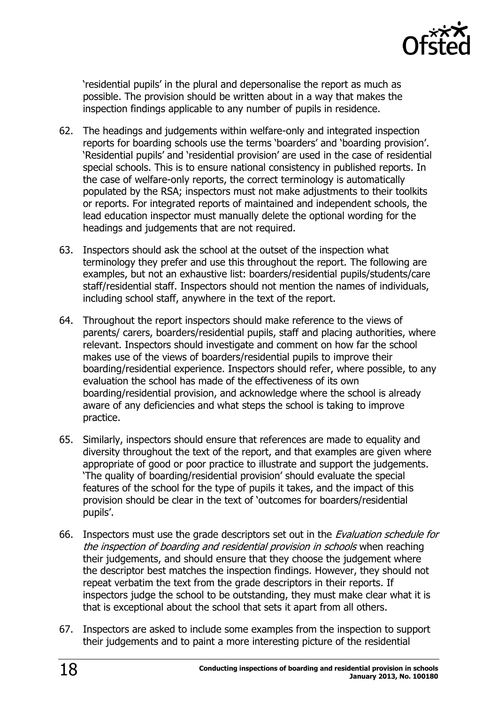

'residential pupils' in the plural and depersonalise the report as much as possible. The provision should be written about in a way that makes the inspection findings applicable to any number of pupils in residence.

- 62. The headings and judgements within welfare-only and integrated inspection reports for boarding schools use the terms 'boarders' and 'boarding provision'. 'Residential pupils' and 'residential provision' are used in the case of residential special schools. This is to ensure national consistency in published reports. In the case of welfare-only reports, the correct terminology is automatically populated by the RSA; inspectors must not make adjustments to their toolkits or reports. For integrated reports of maintained and independent schools, the lead education inspector must manually delete the optional wording for the headings and judgements that are not required.
- 63. Inspectors should ask the school at the outset of the inspection what terminology they prefer and use this throughout the report. The following are examples, but not an exhaustive list: boarders/residential pupils/students/care staff/residential staff. Inspectors should not mention the names of individuals, including school staff, anywhere in the text of the report.
- 64. Throughout the report inspectors should make reference to the views of parents/ carers, boarders/residential pupils, staff and placing authorities, where relevant. Inspectors should investigate and comment on how far the school makes use of the views of boarders/residential pupils to improve their boarding/residential experience. Inspectors should refer, where possible, to any evaluation the school has made of the effectiveness of its own boarding/residential provision, and acknowledge where the school is already aware of any deficiencies and what steps the school is taking to improve practice.
- 65. Similarly, inspectors should ensure that references are made to equality and diversity throughout the text of the report, and that examples are given where appropriate of good or poor practice to illustrate and support the judgements. 'The quality of boarding/residential provision' should evaluate the special features of the school for the type of pupils it takes, and the impact of this provision should be clear in the text of 'outcomes for boarders/residential pupils'.
- 66. Inspectors must use the grade descriptors set out in the *Evaluation schedule for* the inspection of boarding and residential provision in schools when reaching their judgements, and should ensure that they choose the judgement where the descriptor best matches the inspection findings. However, they should not repeat verbatim the text from the grade descriptors in their reports. If inspectors judge the school to be outstanding, they must make clear what it is that is exceptional about the school that sets it apart from all others.
- 67. Inspectors are asked to include some examples from the inspection to support their judgements and to paint a more interesting picture of the residential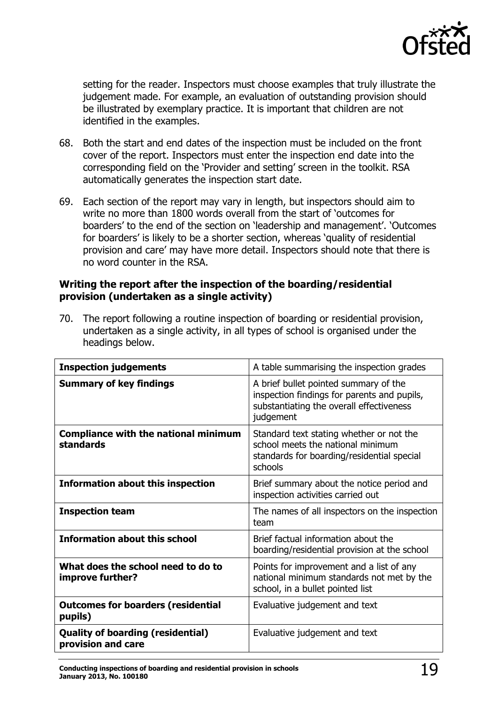

setting for the reader. Inspectors must choose examples that truly illustrate the judgement made. For example, an evaluation of outstanding provision should be illustrated by exemplary practice. It is important that children are not identified in the examples.

- 68. Both the start and end dates of the inspection must be included on the front cover of the report. Inspectors must enter the inspection end date into the corresponding field on the 'Provider and setting' screen in the toolkit. RSA automatically generates the inspection start date.
- 69. Each section of the report may vary in length, but inspectors should aim to write no more than 1800 words overall from the start of 'outcomes for boarders' to the end of the section on 'leadership and management'. 'Outcomes for boarders' is likely to be a shorter section, whereas 'quality of residential provision and care' may have more detail. Inspectors should note that there is no word counter in the RSA.

#### **Writing the report after the inspection of the boarding/residential provision (undertaken as a single activity)**

70. The report following a routine inspection of boarding or residential provision, undertaken as a single activity, in all types of school is organised under the headings below.

| <b>Inspection judgements</b>                                    | A table summarising the inspection grades                                                                                                     |
|-----------------------------------------------------------------|-----------------------------------------------------------------------------------------------------------------------------------------------|
| <b>Summary of key findings</b>                                  | A brief bullet pointed summary of the<br>inspection findings for parents and pupils,<br>substantiating the overall effectiveness<br>judgement |
| <b>Compliance with the national minimum</b><br><b>standards</b> | Standard text stating whether or not the<br>school meets the national minimum<br>standards for boarding/residential special<br>schools        |
| <b>Information about this inspection</b>                        | Brief summary about the notice period and<br>inspection activities carried out                                                                |
| <b>Inspection team</b>                                          | The names of all inspectors on the inspection<br>team                                                                                         |
| <b>Information about this school</b>                            | Brief factual information about the<br>boarding/residential provision at the school                                                           |
| What does the school need to do to<br>improve further?          | Points for improvement and a list of any<br>national minimum standards not met by the<br>school, in a bullet pointed list                     |
| <b>Outcomes for boarders (residential</b><br>pupils)            | Evaluative judgement and text                                                                                                                 |
| <b>Quality of boarding (residential)</b><br>provision and care  | Evaluative judgement and text                                                                                                                 |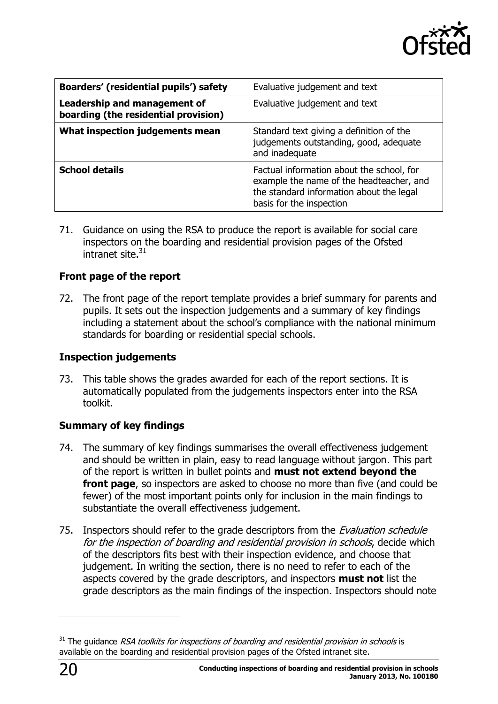

| <b>Boarders' (residential pupils') safety</b>                        | Evaluative judgement and text                                                                                                                                 |  |
|----------------------------------------------------------------------|---------------------------------------------------------------------------------------------------------------------------------------------------------------|--|
| Leadership and management of<br>boarding (the residential provision) | Evaluative judgement and text                                                                                                                                 |  |
| What inspection judgements mean                                      | Standard text giving a definition of the<br>judgements outstanding, good, adequate<br>and inadequate                                                          |  |
| <b>School details</b>                                                | Factual information about the school, for<br>example the name of the headteacher, and<br>the standard information about the legal<br>basis for the inspection |  |

71. Guidance on using the RSA to produce the report is available for social care inspectors on the boarding and residential provision pages of the Ofsted intranet site.<sup>31</sup>

#### **Front page of the report**

72. The front page of the report template provides a brief summary for parents and pupils. It sets out the inspection judgements and a summary of key findings including a statement about the school's compliance with the national minimum standards for boarding or residential special schools.

#### **Inspection judgements**

73. This table shows the grades awarded for each of the report sections. It is automatically populated from the judgements inspectors enter into the RSA toolkit.

#### **Summary of key findings**

- 74. The summary of key findings summarises the overall effectiveness judgement and should be written in plain, easy to read language without jargon. This part of the report is written in bullet points and **must not extend beyond the front page**, so inspectors are asked to choose no more than five (and could be fewer) of the most important points only for inclusion in the main findings to substantiate the overall effectiveness judgement.
- 75. Inspectors should refer to the grade descriptors from the *Evaluation schedule* for the inspection of boarding and residential provision in schools, decide which of the descriptors fits best with their inspection evidence, and choose that judgement. In writing the section, there is no need to refer to each of the aspects covered by the grade descriptors, and inspectors **must not** list the grade descriptors as the main findings of the inspection. Inspectors should note

j

 $31$  The guidance RSA toolkits for inspections of boarding and residential provision in schools is available on the boarding and residential provision pages of the Ofsted intranet site.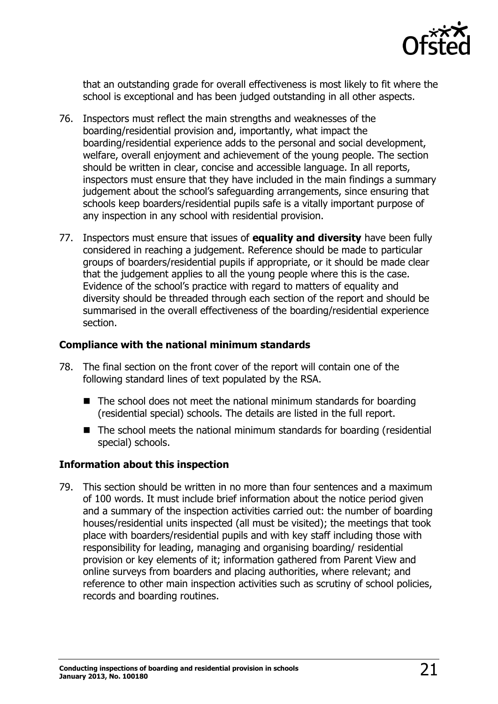

that an outstanding grade for overall effectiveness is most likely to fit where the school is exceptional and has been judged outstanding in all other aspects.

- 76. Inspectors must reflect the main strengths and weaknesses of the boarding/residential provision and, importantly, what impact the boarding/residential experience adds to the personal and social development, welfare, overall enjoyment and achievement of the young people. The section should be written in clear, concise and accessible language. In all reports, inspectors must ensure that they have included in the main findings a summary judgement about the school's safeguarding arrangements, since ensuring that schools keep boarders/residential pupils safe is a vitally important purpose of any inspection in any school with residential provision.
- 77. Inspectors must ensure that issues of **equality and diversity** have been fully considered in reaching a judgement. Reference should be made to particular groups of boarders/residential pupils if appropriate, or it should be made clear that the judgement applies to all the young people where this is the case. Evidence of the school's practice with regard to matters of equality and diversity should be threaded through each section of the report and should be summarised in the overall effectiveness of the boarding/residential experience section.

#### **Compliance with the national minimum standards**

- 78. The final section on the front cover of the report will contain one of the following standard lines of text populated by the RSA.
	- $\blacksquare$  The school does not meet the national minimum standards for boarding (residential special) schools. The details are listed in the full report.
	- The school meets the national minimum standards for boarding (residential special) schools.

#### **Information about this inspection**

79. This section should be written in no more than four sentences and a maximum of 100 words. It must include brief information about the notice period given and a summary of the inspection activities carried out: the number of boarding houses/residential units inspected (all must be visited); the meetings that took place with boarders/residential pupils and with key staff including those with responsibility for leading, managing and organising boarding/ residential provision or key elements of it; information gathered from Parent View and online surveys from boarders and placing authorities, where relevant; and reference to other main inspection activities such as scrutiny of school policies, records and boarding routines.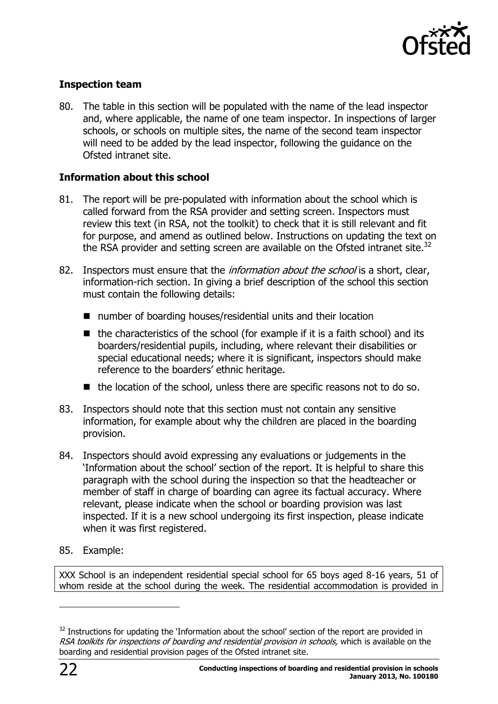

#### **Inspection team**

80. The table in this section will be populated with the name of the lead inspector and, where applicable, the name of one team inspector. In inspections of larger schools, or schools on multiple sites, the name of the second team inspector will need to be added by the lead inspector, following the guidance on the Ofsted intranet site.

#### **Information about this school**

- 81. The report will be pre-populated with information about the school which is called forward from the RSA provider and setting screen. Inspectors must review this text (in RSA, not the toolkit) to check that it is still relevant and fit for purpose, and amend as outlined below. Instructions on updating the text on the RSA provider and setting screen are available on the Ofsted intranet site.<sup>32</sup>
- 82. Inspectors must ensure that the *information about the school* is a short, clear, information-rich section. In giving a brief description of the school this section must contain the following details:
	- number of boarding houses/residential units and their location
	- $\blacksquare$  the characteristics of the school (for example if it is a faith school) and its boarders/residential pupils, including, where relevant their disabilities or special educational needs; where it is significant, inspectors should make reference to the boarders' ethnic heritage.
	- $\blacksquare$  the location of the school, unless there are specific reasons not to do so.
- 83. Inspectors should note that this section must not contain any sensitive information, for example about why the children are placed in the boarding provision.
- 84. Inspectors should avoid expressing any evaluations or judgements in the 'Information about the school' section of the report. It is helpful to share this paragraph with the school during the inspection so that the headteacher or member of staff in charge of boarding can agree its factual accuracy. Where relevant, please indicate when the school or boarding provision was last inspected. If it is a new school undergoing its first inspection, please indicate when it was first registered.
- 85. Example:

XXX School is an independent residential special school for 65 boys aged 8-16 years, 51 of whom reside at the school during the week. The residential accommodation is provided in

-

<sup>&</sup>lt;sup>32</sup> Instructions for updating the 'Information about the school' section of the report are provided in RSA toolkits for inspections of boarding and residential provision in schools, which is available on the boarding and residential provision pages of the Ofsted intranet site.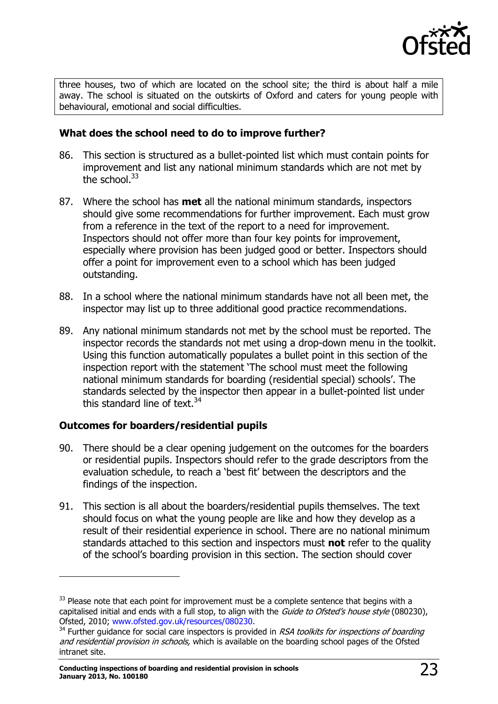

three houses, two of which are located on the school site; the third is about half a mile away. The school is situated on the outskirts of Oxford and caters for young people with behavioural, emotional and social difficulties.

#### **What does the school need to do to improve further?**

- 86. This section is structured as a bullet-pointed list which must contain points for improvement and list any national minimum standards which are not met by the school. $^{33}$
- 87. Where the school has **met** all the national minimum standards, inspectors should give some recommendations for further improvement. Each must grow from a reference in the text of the report to a need for improvement. Inspectors should not offer more than four key points for improvement, especially where provision has been judged good or better. Inspectors should offer a point for improvement even to a school which has been judged outstanding.
- 88. In a school where the national minimum standards have not all been met, the inspector may list up to three additional good practice recommendations.
- 89. Any national minimum standards not met by the school must be reported. The inspector records the standards not met using a drop-down menu in the toolkit. Using this function automatically populates a bullet point in this section of the inspection report with the statement 'The school must meet the following national minimum standards for boarding (residential special) schools'. The standards selected by the inspector then appear in a bullet-pointed list under this standard line of text. $34$

#### **Outcomes for boarders/residential pupils**

j

- 90. There should be a clear opening judgement on the outcomes for the boarders or residential pupils. Inspectors should refer to the grade descriptors from the evaluation schedule, to reach a 'best fit' between the descriptors and the findings of the inspection.
- 91. This section is all about the boarders/residential pupils themselves. The text should focus on what the young people are like and how they develop as a result of their residential experience in school. There are no national minimum standards attached to this section and inspectors must **not** refer to the quality of the school's boarding provision in this section. The section should cover

 $33$  Please note that each point for improvement must be a complete sentence that begins with a capitalised initial and ends with a full stop, to align with the Guide to Ofsted's house style (080230), Ofsted, 2010; [www.ofsted.gov.uk/resources/080230.](http://www.ofsted.gov.uk/resources/080230)

 $34$  Further guidance for social care inspectors is provided in RSA toolkits for inspections of boarding and residential provision in schools, which is available on the boarding school pages of the Ofsted intranet site.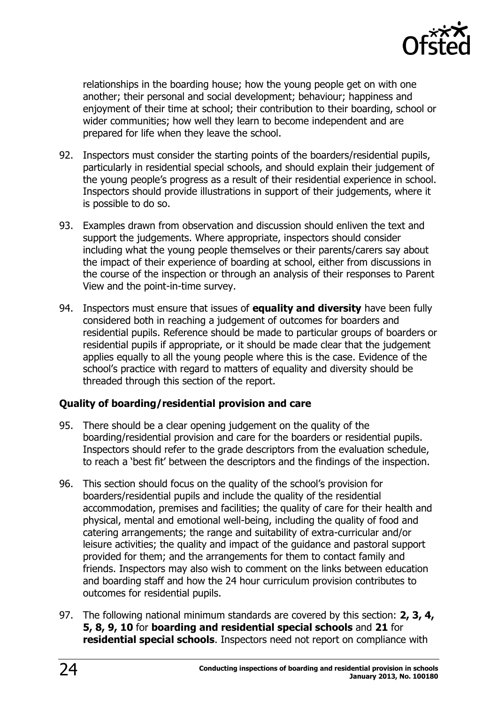

relationships in the boarding house; how the young people get on with one another; their personal and social development; behaviour; happiness and enjoyment of their time at school; their contribution to their boarding, school or wider communities; how well they learn to become independent and are prepared for life when they leave the school.

- 92. Inspectors must consider the starting points of the boarders/residential pupils, particularly in residential special schools, and should explain their judgement of the young people's progress as a result of their residential experience in school. Inspectors should provide illustrations in support of their judgements, where it is possible to do so.
- 93. Examples drawn from observation and discussion should enliven the text and support the judgements. Where appropriate, inspectors should consider including what the young people themselves or their parents/carers say about the impact of their experience of boarding at school, either from discussions in the course of the inspection or through an analysis of their responses to Parent View and the point-in-time survey.
- 94. Inspectors must ensure that issues of **equality and diversity** have been fully considered both in reaching a judgement of outcomes for boarders and residential pupils. Reference should be made to particular groups of boarders or residential pupils if appropriate, or it should be made clear that the judgement applies equally to all the young people where this is the case. Evidence of the school's practice with regard to matters of equality and diversity should be threaded through this section of the report.

#### **Quality of boarding/residential provision and care**

- 95. There should be a clear opening judgement on the quality of the boarding/residential provision and care for the boarders or residential pupils. Inspectors should refer to the grade descriptors from the evaluation schedule, to reach a 'best fit' between the descriptors and the findings of the inspection.
- 96. This section should focus on the quality of the school's provision for boarders/residential pupils and include the quality of the residential accommodation, premises and facilities; the quality of care for their health and physical, mental and emotional well-being, including the quality of food and catering arrangements; the range and suitability of extra-curricular and/or leisure activities; the quality and impact of the guidance and pastoral support provided for them; and the arrangements for them to contact family and friends. Inspectors may also wish to comment on the links between education and boarding staff and how the 24 hour curriculum provision contributes to outcomes for residential pupils.
- 97. The following national minimum standards are covered by this section: **2, 3, 4, 5, 8, 9, 10** for **boarding and residential special schools** and **21** for **residential special schools**. Inspectors need not report on compliance with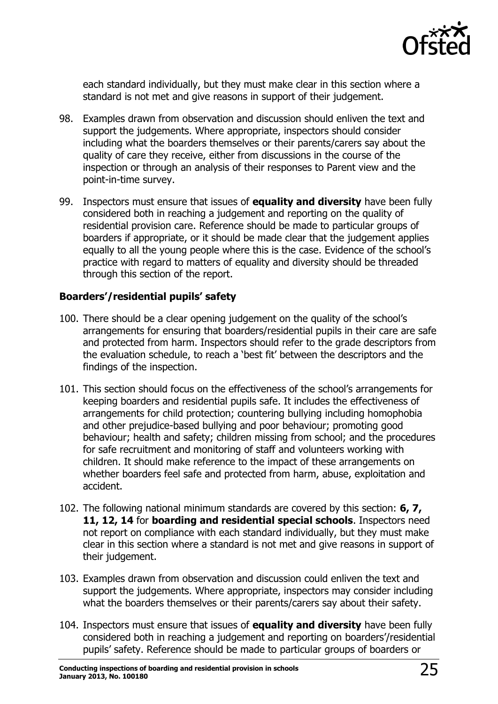

each standard individually, but they must make clear in this section where a standard is not met and give reasons in support of their judgement.

- 98. Examples drawn from observation and discussion should enliven the text and support the judgements. Where appropriate, inspectors should consider including what the boarders themselves or their parents/carers say about the quality of care they receive, either from discussions in the course of the inspection or through an analysis of their responses to Parent view and the point-in-time survey.
- 99. Inspectors must ensure that issues of **equality and diversity** have been fully considered both in reaching a judgement and reporting on the quality of residential provision care. Reference should be made to particular groups of boarders if appropriate, or it should be made clear that the judgement applies equally to all the young people where this is the case. Evidence of the school's practice with regard to matters of equality and diversity should be threaded through this section of the report.

#### **Boarders'/residential pupils' safety**

- 100. There should be a clear opening judgement on the quality of the school's arrangements for ensuring that boarders/residential pupils in their care are safe and protected from harm. Inspectors should refer to the grade descriptors from the evaluation schedule, to reach a 'best fit' between the descriptors and the findings of the inspection.
- 101. This section should focus on the effectiveness of the school's arrangements for keeping boarders and residential pupils safe. It includes the effectiveness of arrangements for child protection; countering bullying including homophobia and other prejudice-based bullying and poor behaviour; promoting good behaviour; health and safety; children missing from school; and the procedures for safe recruitment and monitoring of staff and volunteers working with children. It should make reference to the impact of these arrangements on whether boarders feel safe and protected from harm, abuse, exploitation and accident.
- 102. The following national minimum standards are covered by this section: **6, 7, 11, 12, 14** for **boarding and residential special schools**. Inspectors need not report on compliance with each standard individually, but they must make clear in this section where a standard is not met and give reasons in support of their judgement.
- 103. Examples drawn from observation and discussion could enliven the text and support the judgements. Where appropriate, inspectors may consider including what the boarders themselves or their parents/carers say about their safety.
- 104. Inspectors must ensure that issues of **equality and diversity** have been fully considered both in reaching a judgement and reporting on boarders'/residential pupils' safety. Reference should be made to particular groups of boarders or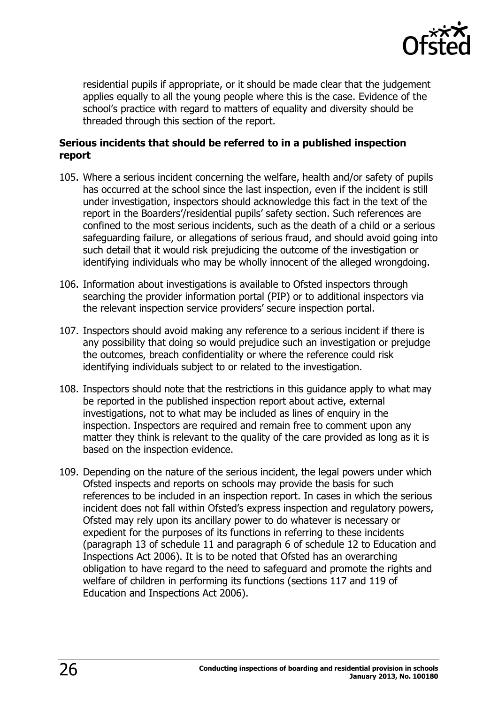

residential pupils if appropriate, or it should be made clear that the judgement applies equally to all the young people where this is the case. Evidence of the school's practice with regard to matters of equality and diversity should be threaded through this section of the report.

#### **Serious incidents that should be referred to in a published inspection report**

- 105. Where a serious incident concerning the welfare, health and/or safety of pupils has occurred at the school since the last inspection, even if the incident is still under investigation, inspectors should acknowledge this fact in the text of the report in the Boarders'/residential pupils' safety section. Such references are confined to the most serious incidents, such as the death of a child or a serious safeguarding failure, or allegations of serious fraud, and should avoid going into such detail that it would risk prejudicing the outcome of the investigation or identifying individuals who may be wholly innocent of the alleged wrongdoing.
- 106. Information about investigations is available to Ofsted inspectors through searching the provider information portal (PIP) or to additional inspectors via the relevant inspection service providers' secure inspection portal.
- 107. Inspectors should avoid making any reference to a serious incident if there is any possibility that doing so would prejudice such an investigation or prejudge the outcomes, breach confidentiality or where the reference could risk identifying individuals subject to or related to the investigation.
- 108. Inspectors should note that the restrictions in this guidance apply to what may be reported in the published inspection report about active, external investigations, not to what may be included as lines of enquiry in the inspection. Inspectors are required and remain free to comment upon any matter they think is relevant to the quality of the care provided as long as it is based on the inspection evidence.
- 109. Depending on the nature of the serious incident, the legal powers under which Ofsted inspects and reports on schools may provide the basis for such references to be included in an inspection report. In cases in which the serious incident does not fall within Ofsted's express inspection and regulatory powers, Ofsted may rely upon its ancillary power to do whatever is necessary or expedient for the purposes of its functions in referring to these incidents (paragraph 13 of schedule 11 and paragraph 6 of schedule 12 to Education and Inspections Act 2006). It is to be noted that Ofsted has an overarching obligation to have regard to the need to safeguard and promote the rights and welfare of children in performing its functions (sections 117 and 119 of Education and Inspections Act 2006).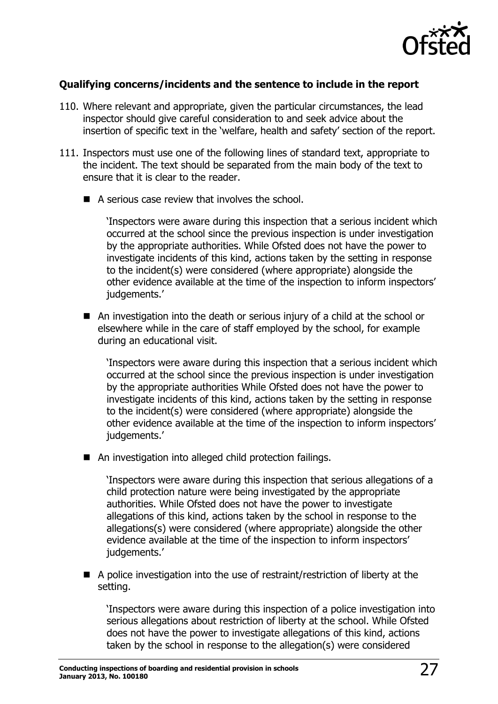

#### **Qualifying concerns/incidents and the sentence to include in the report**

- 110. Where relevant and appropriate, given the particular circumstances, the lead inspector should give careful consideration to and seek advice about the insertion of specific text in the 'welfare, health and safety' section of the report.
- 111. Inspectors must use one of the following lines of standard text, appropriate to the incident. The text should be separated from the main body of the text to ensure that it is clear to the reader.
	- A serious case review that involves the school.

'Inspectors were aware during this inspection that a serious incident which occurred at the school since the previous inspection is under investigation by the appropriate authorities. While Ofsted does not have the power to investigate incidents of this kind, actions taken by the setting in response to the incident(s) were considered (where appropriate) alongside the other evidence available at the time of the inspection to inform inspectors' judgements.'

 An investigation into the death or serious injury of a child at the school or elsewhere while in the care of staff employed by the school, for example during an educational visit.

'Inspectors were aware during this inspection that a serious incident which occurred at the school since the previous inspection is under investigation by the appropriate authorities While Ofsted does not have the power to investigate incidents of this kind, actions taken by the setting in response to the incident(s) were considered (where appropriate) alongside the other evidence available at the time of the inspection to inform inspectors' judgements.'

■ An investigation into alleged child protection failings.

'Inspectors were aware during this inspection that serious allegations of a child protection nature were being investigated by the appropriate authorities. While Ofsted does not have the power to investigate allegations of this kind, actions taken by the school in response to the allegations(s) were considered (where appropriate) alongside the other evidence available at the time of the inspection to inform inspectors' judgements.'

 A police investigation into the use of restraint/restriction of liberty at the setting.

'Inspectors were aware during this inspection of a police investigation into serious allegations about restriction of liberty at the school. While Ofsted does not have the power to investigate allegations of this kind, actions taken by the school in response to the allegation(s) were considered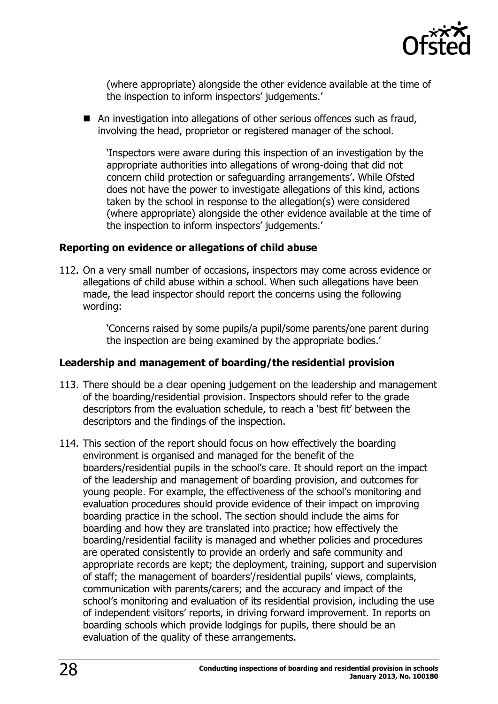

(where appropriate) alongside the other evidence available at the time of the inspection to inform inspectors' judgements.'

■ An investigation into allegations of other serious offences such as fraud, involving the head, proprietor or registered manager of the school.

'Inspectors were aware during this inspection of an investigation by the appropriate authorities into allegations of wrong-doing that did not concern child protection or safeguarding arrangements'. While Ofsted does not have the power to investigate allegations of this kind, actions taken by the school in response to the allegation(s) were considered (where appropriate) alongside the other evidence available at the time of the inspection to inform inspectors' judgements.'

#### **Reporting on evidence or allegations of child abuse**

112. On a very small number of occasions, inspectors may come across evidence or allegations of child abuse within a school. When such allegations have been made, the lead inspector should report the concerns using the following wording:

> 'Concerns raised by some pupils/a pupil/some parents/one parent during the inspection are being examined by the appropriate bodies.'

#### **Leadership and management of boarding/the residential provision**

- 113. There should be a clear opening judgement on the leadership and management of the boarding/residential provision. Inspectors should refer to the grade descriptors from the evaluation schedule, to reach a 'best fit' between the descriptors and the findings of the inspection.
- 114. This section of the report should focus on how effectively the boarding environment is organised and managed for the benefit of the boarders/residential pupils in the school's care. It should report on the impact of the leadership and management of boarding provision, and outcomes for young people. For example, the effectiveness of the school's monitoring and evaluation procedures should provide evidence of their impact on improving boarding practice in the school. The section should include the aims for boarding and how they are translated into practice; how effectively the boarding/residential facility is managed and whether policies and procedures are operated consistently to provide an orderly and safe community and appropriate records are kept; the deployment, training, support and supervision of staff; the management of boarders'/residential pupils' views, complaints, communication with parents/carers; and the accuracy and impact of the school's monitoring and evaluation of its residential provision, including the use of independent visitors' reports, in driving forward improvement. In reports on boarding schools which provide lodgings for pupils, there should be an evaluation of the quality of these arrangements.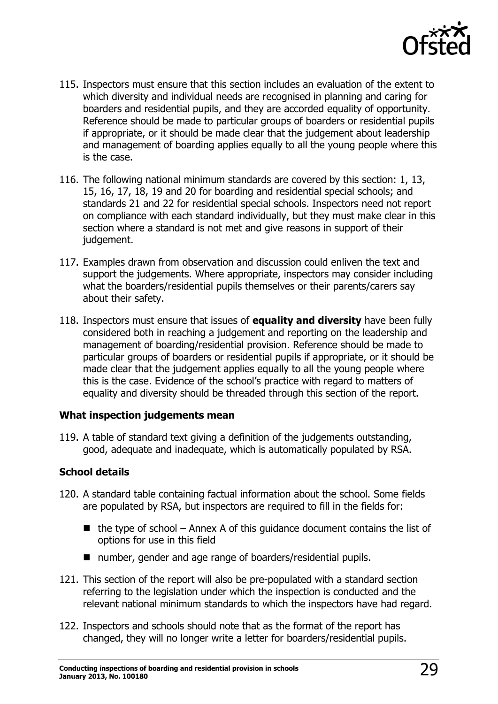

- 115. Inspectors must ensure that this section includes an evaluation of the extent to which diversity and individual needs are recognised in planning and caring for boarders and residential pupils, and they are accorded equality of opportunity. Reference should be made to particular groups of boarders or residential pupils if appropriate, or it should be made clear that the judgement about leadership and management of boarding applies equally to all the young people where this is the case.
- 116. The following national minimum standards are covered by this section: 1, 13, 15, 16, 17, 18, 19 and 20 for boarding and residential special schools; and standards 21 and 22 for residential special schools. Inspectors need not report on compliance with each standard individually, but they must make clear in this section where a standard is not met and give reasons in support of their judgement.
- 117. Examples drawn from observation and discussion could enliven the text and support the judgements. Where appropriate, inspectors may consider including what the boarders/residential pupils themselves or their parents/carers say about their safety.
- 118. Inspectors must ensure that issues of **equality and diversity** have been fully considered both in reaching a judgement and reporting on the leadership and management of boarding/residential provision. Reference should be made to particular groups of boarders or residential pupils if appropriate, or it should be made clear that the judgement applies equally to all the young people where this is the case. Evidence of the school's practice with regard to matters of equality and diversity should be threaded through this section of the report.

#### **What inspection judgements mean**

119. A table of standard text giving a definition of the judgements outstanding, good, adequate and inadequate, which is automatically populated by RSA.

#### **School details**

- 120. A standard table containing factual information about the school. Some fields are populated by RSA, but inspectors are required to fill in the fields for:
	- $\blacksquare$  the type of school Annex A of this guidance document contains the list of options for use in this field
	- number, gender and age range of boarders/residential pupils.
- 121. This section of the report will also be pre-populated with a standard section referring to the legislation under which the inspection is conducted and the relevant national minimum standards to which the inspectors have had regard.
- 122. Inspectors and schools should note that as the format of the report has changed, they will no longer write a letter for boarders/residential pupils.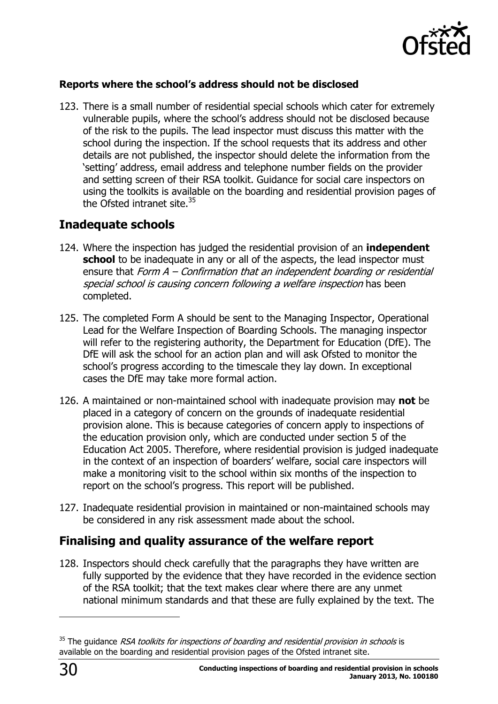

#### **Reports where the school's address should not be disclosed**

123. There is a small number of residential special schools which cater for extremely vulnerable pupils, where the school's address should not be disclosed because of the risk to the pupils. The lead inspector must discuss this matter with the school during the inspection. If the school requests that its address and other details are not published, the inspector should delete the information from the 'setting' address, email address and telephone number fields on the provider and setting screen of their RSA toolkit. Guidance for social care inspectors on using the toolkits is available on the boarding and residential provision pages of the Ofsted intranet site. $35$ 

# <span id="page-29-0"></span>**Inadequate schools**

- 124. Where the inspection has judged the residential provision of an **independent school** to be inadequate in any or all of the aspects, the lead inspector must ensure that Form A - Confirmation that an independent boarding or residential special school is causing concern following a welfare inspection has been completed.
- 125. The completed Form A should be sent to the Managing Inspector, Operational Lead for the Welfare Inspection of Boarding Schools. The managing inspector will refer to the registering authority, the Department for Education (DfE). The DfE will ask the school for an action plan and will ask Ofsted to monitor the school's progress according to the timescale they lay down. In exceptional cases the DfE may take more formal action.
- 126. A maintained or non-maintained school with inadequate provision may **not** be placed in a category of concern on the grounds of inadequate residential provision alone. This is because categories of concern apply to inspections of the education provision only, which are conducted under section 5 of the Education Act 2005. Therefore, where residential provision is judged inadequate in the context of an inspection of boarders' welfare, social care inspectors will make a monitoring visit to the school within six months of the inspection to report on the school's progress. This report will be published.
- 127. Inadequate residential provision in maintained or non-maintained schools may be considered in any risk assessment made about the school.

# <span id="page-29-1"></span>**Finalising and quality assurance of the welfare report**

128. Inspectors should check carefully that the paragraphs they have written are fully supported by the evidence that they have recorded in the evidence section of the RSA toolkit; that the text makes clear where there are any unmet national minimum standards and that these are fully explained by the text. The

j

 $35$  The quidance RSA toolkits for inspections of boarding and residential provision in schools is available on the boarding and residential provision pages of the Ofsted intranet site.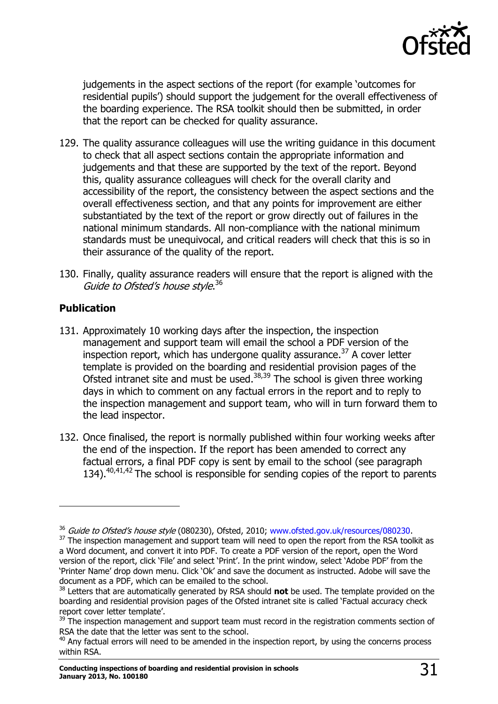

judgements in the aspect sections of the report (for example 'outcomes for residential pupils') should support the judgement for the overall effectiveness of the boarding experience. The RSA toolkit should then be submitted, in order that the report can be checked for quality assurance.

- 129. The quality assurance colleagues will use the writing guidance in this document to check that all aspect sections contain the appropriate information and judgements and that these are supported by the text of the report. Beyond this, quality assurance colleagues will check for the overall clarity and accessibility of the report, the consistency between the aspect sections and the overall effectiveness section, and that any points for improvement are either substantiated by the text of the report or grow directly out of failures in the national minimum standards. All non-compliance with the national minimum standards must be unequivocal, and critical readers will check that this is so in their assurance of the quality of the report.
- 130. Finally, quality assurance readers will ensure that the report is aligned with the Guide to Ofsted's house style.<sup>36</sup>

#### **Publication**

 $\overline{a}$ 

- 131. Approximately 10 working days after the inspection, the inspection management and support team will email the school a PDF version of the inspection report, which has undergone quality assurance.<sup>37</sup> A cover letter template is provided on the boarding and residential provision pages of the Ofsted intranet site and must be used.38,39 The school is given three working days in which to comment on any factual errors in the report and to reply to the inspection management and support team, who will in turn forward them to the lead inspector.
- 132. Once finalised, the report is normally published within four working weeks after the end of the inspection. If the report has been amended to correct any factual errors, a final PDF copy is sent by email to the school (see paragraph 134).  $40,41,42$  The school is responsible for sending copies of the report to parents

<sup>&</sup>lt;sup>36</sup> Guide to Ofsted's house style (080230), Ofsted, 2010; [www.ofsted.gov.uk/resources/080230.](http://www.ofsted.gov.uk/resources/guide-ofsteds-house-style)

<sup>&</sup>lt;sup>37</sup> The inspection management and support team will need to open the report from the RSA toolkit as a Word document, and convert it into PDF. To create a PDF version of the report, open the Word version of the report, click 'File' and select 'Print'. In the print window, select 'Adobe PDF' from the 'Printer Name' drop down menu. Click 'Ok' and save the document as instructed. Adobe will save the document as a PDF, which can be emailed to the school.

<sup>38</sup> Letters that are automatically generated by RSA should **not** be used. The template provided on the boarding and residential provision pages of the Ofsted intranet site is called 'Factual accuracy check report cover letter template'.

 $39$  The inspection management and support team must record in the registration comments section of RSA the date that the letter was sent to the school.

 $40$  Any factual errors will need to be amended in the inspection report, by using the concerns process within RSA.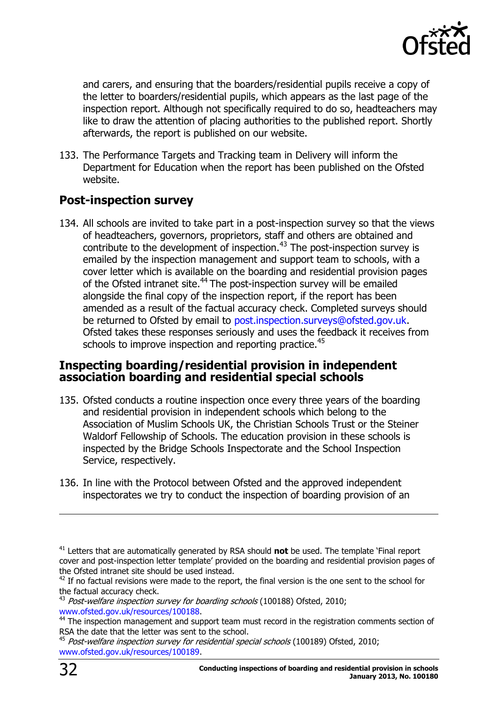

and carers, and ensuring that the boarders/residential pupils receive a copy of the letter to boarders/residential pupils, which appears as the last page of the inspection report. Although not specifically required to do so, headteachers may like to draw the attention of placing authorities to the published report. Shortly afterwards, the report is published on our website.

133. The Performance Targets and Tracking team in Delivery will inform the Department for Education when the report has been published on the Ofsted website.

## <span id="page-31-0"></span>**Post-inspection survey**

134. All schools are invited to take part in a post-inspection survey so that the views of headteachers, governors, proprietors, staff and others are obtained and contribute to the development of inspection.<sup>43</sup> The post-inspection survey is emailed by the inspection management and support team to schools, with a cover letter which is available on the boarding and residential provision pages of the Ofsted intranet site.<sup>44</sup> The post-inspection survey will be emailed alongside the final copy of the inspection report, if the report has been amended as a result of the factual accuracy check. Completed surveys should be returned to Ofsted by email to [post.inspection.surveys@ofsted.gov.uk.](mailto:post.inspection.surveys@ofsted.gov.uk) Ofsted takes these responses seriously and uses the feedback it receives from schools to improve inspection and reporting practice.<sup>45</sup>

#### <span id="page-31-1"></span>**Inspecting boarding/residential provision in independent association boarding and residential special schools**

- 135. Ofsted conducts a routine inspection once every three years of the boarding and residential provision in independent schools which belong to the Association of Muslim Schools UK, the Christian Schools Trust or the Steiner Waldorf Fellowship of Schools. The education provision in these schools is inspected by the Bridge Schools Inspectorate and the School Inspection Service, respectively.
- 136. In line with the Protocol between Ofsted and the approved independent inspectorates we try to conduct the inspection of boarding provision of an

 $\overline{a}$ 

<sup>41</sup> Letters that are automatically generated by RSA should **not** be used. The template 'Final report cover and post-inspection letter template' provided on the boarding and residential provision pages of the Ofsted intranet site should be used instead.

 $42$  If no factual revisions were made to the report, the final version is the one sent to the school for the factual accuracy check.

 $43$  Post-welfare inspection survey for boarding schools (100188) Ofsted, 2010; [www.ofsted.gov.uk/resources/100188.](http://www.ofsted.gov.uk/resources/post-welfare-inspection-survey-for-boarding-schools)

<sup>&</sup>lt;sup>44</sup> The inspection management and support team must record in the registration comments section of RSA the date that the letter was sent to the school.

<sup>&</sup>lt;sup>45</sup> Post-welfare inspection survey for residential special schools (100189) Ofsted, 2010; [www.ofsted.gov.uk/resources/100189.](http://www.ofsted.gov.uk/resources/post-welfare-inspection-survey-for-residential-special-schools)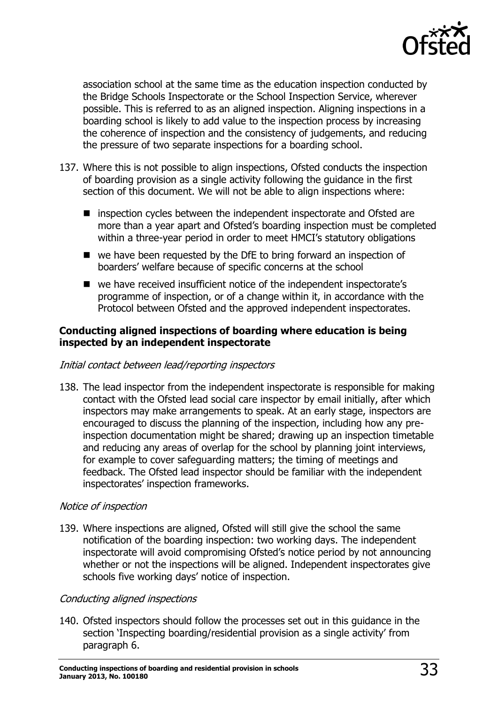

association school at the same time as the education inspection conducted by the Bridge Schools Inspectorate or the School Inspection Service, wherever possible. This is referred to as an aligned inspection. Aligning inspections in a boarding school is likely to add value to the inspection process by increasing the coherence of inspection and the consistency of judgements, and reducing the pressure of two separate inspections for a boarding school.

- 137. Where this is not possible to align inspections, Ofsted conducts the inspection of boarding provision as a single activity following the guidance in the first section of this document. We will not be able to align inspections where:
	- inspection cycles between the independent inspectorate and Ofsted are more than a year apart and Ofsted's boarding inspection must be completed within a three-year period in order to meet HMCI's statutory obligations
	- we have been requested by the DfE to bring forward an inspection of boarders' welfare because of specific concerns at the school
	- we have received insufficient notice of the independent inspectorate's programme of inspection, or of a change within it, in accordance with the Protocol between Ofsted and the approved independent inspectorates.

#### **Conducting aligned inspections of boarding where education is being inspected by an independent inspectorate**

#### Initial contact between lead/reporting inspectors

138. The lead inspector from the independent inspectorate is responsible for making contact with the Ofsted lead social care inspector by email initially, after which inspectors may make arrangements to speak. At an early stage, inspectors are encouraged to discuss the planning of the inspection, including how any preinspection documentation might be shared; drawing up an inspection timetable and reducing any areas of overlap for the school by planning joint interviews, for example to cover safeguarding matters; the timing of meetings and feedback. The Ofsted lead inspector should be familiar with the independent inspectorates' inspection frameworks.

#### Notice of inspection

139. Where inspections are aligned, Ofsted will still give the school the same notification of the boarding inspection: two working days. The independent inspectorate will avoid compromising Ofsted's notice period by not announcing whether or not the inspections will be aligned. Independent inspectorates give schools five working days' notice of inspection.

#### Conducting aligned inspections

140. Ofsted inspectors should follow the processes set out in this guidance in the section 'Inspecting boarding/residential provision as a single activity' from paragraph 6.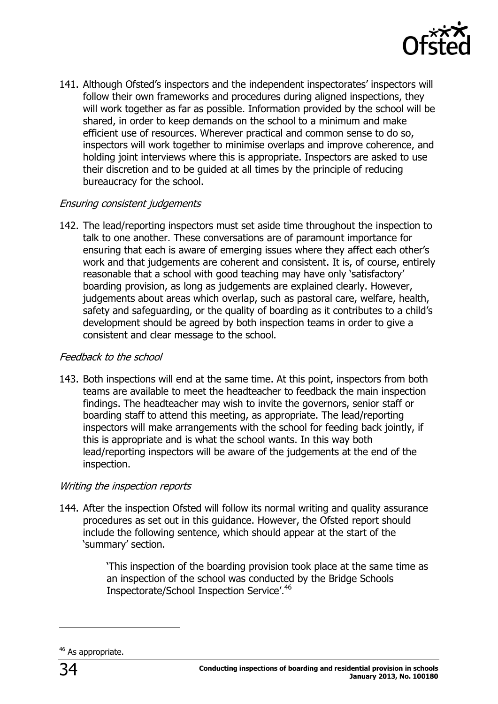

141. Although Ofsted's inspectors and the independent inspectorates' inspectors will follow their own frameworks and procedures during aligned inspections, they will work together as far as possible. Information provided by the school will be shared, in order to keep demands on the school to a minimum and make efficient use of resources. Wherever practical and common sense to do so, inspectors will work together to minimise overlaps and improve coherence, and holding joint interviews where this is appropriate. Inspectors are asked to use their discretion and to be guided at all times by the principle of reducing bureaucracy for the school.

#### Ensuring consistent judgements

142. The lead/reporting inspectors must set aside time throughout the inspection to talk to one another. These conversations are of paramount importance for ensuring that each is aware of emerging issues where they affect each other's work and that judgements are coherent and consistent. It is, of course, entirely reasonable that a school with good teaching may have only 'satisfactory' boarding provision, as long as judgements are explained clearly. However, judgements about areas which overlap, such as pastoral care, welfare, health, safety and safeguarding, or the quality of boarding as it contributes to a child's development should be agreed by both inspection teams in order to give a consistent and clear message to the school.

#### Feedback to the school

143. Both inspections will end at the same time. At this point, inspectors from both teams are available to meet the headteacher to feedback the main inspection findings. The headteacher may wish to invite the governors, senior staff or boarding staff to attend this meeting, as appropriate. The lead/reporting inspectors will make arrangements with the school for feeding back jointly, if this is appropriate and is what the school wants. In this way both lead/reporting inspectors will be aware of the judgements at the end of the inspection.

#### Writing the inspection reports

144. After the inspection Ofsted will follow its normal writing and quality assurance procedures as set out in this guidance. However, the Ofsted report should include the following sentence, which should appear at the start of the 'summary' section.

> 'This inspection of the boarding provision took place at the same time as an inspection of the school was conducted by the Bridge Schools Inspectorate/School Inspection Service'.<sup>46</sup>

j

<sup>&</sup>lt;sup>46</sup> As appropriate.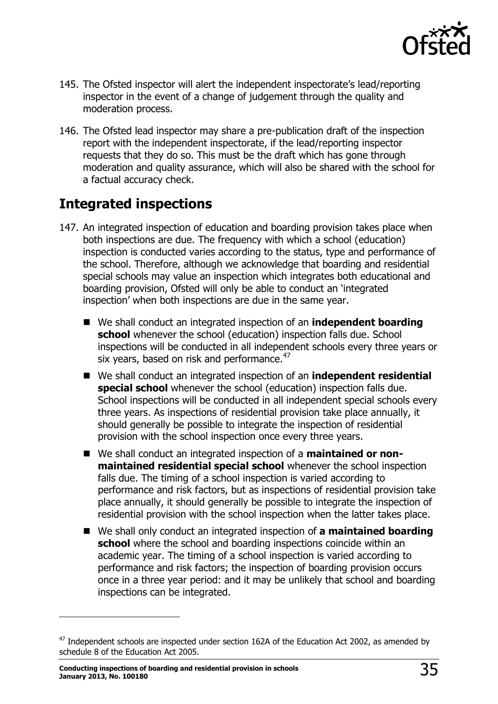

- 145. The Ofsted inspector will alert the independent inspectorate's lead/reporting inspector in the event of a change of judgement through the quality and moderation process.
- 146. The Ofsted lead inspector may share a pre-publication draft of the inspection report with the independent inspectorate, if the lead/reporting inspector requests that they do so. This must be the draft which has gone through moderation and quality assurance, which will also be shared with the school for a factual accuracy check.

# <span id="page-34-0"></span>**Integrated inspections**

- 147. An integrated inspection of education and boarding provision takes place when both inspections are due. The frequency with which a school (education) inspection is conducted varies according to the status, type and performance of the school. Therefore, although we acknowledge that boarding and residential special schools may value an inspection which integrates both educational and boarding provision, Ofsted will only be able to conduct an 'integrated inspection' when both inspections are due in the same year.
	- We shall conduct an integrated inspection of an **independent boarding school** whenever the school (education) inspection falls due. School inspections will be conducted in all independent schools every three years or six years, based on risk and performance. $47$
	- We shall conduct an integrated inspection of an **independent residential special school** whenever the school (education) inspection falls due. School inspections will be conducted in all independent special schools every three years. As inspections of residential provision take place annually, it should generally be possible to integrate the inspection of residential provision with the school inspection once every three years.
	- We shall conduct an integrated inspection of a **maintained or nonmaintained residential special school** whenever the school inspection falls due. The timing of a school inspection is varied according to performance and risk factors, but as inspections of residential provision take place annually, it should generally be possible to integrate the inspection of residential provision with the school inspection when the latter takes place.
	- We shall only conduct an integrated inspection of **a maintained boarding school** where the school and boarding inspections coincide within an academic year. The timing of a school inspection is varied according to performance and risk factors; the inspection of boarding provision occurs once in a three year period: and it may be unlikely that school and boarding inspections can be integrated.

j

 $47$  Independent schools are inspected under section 162A of the Education Act 2002, as amended by schedule 8 of the Education Act 2005.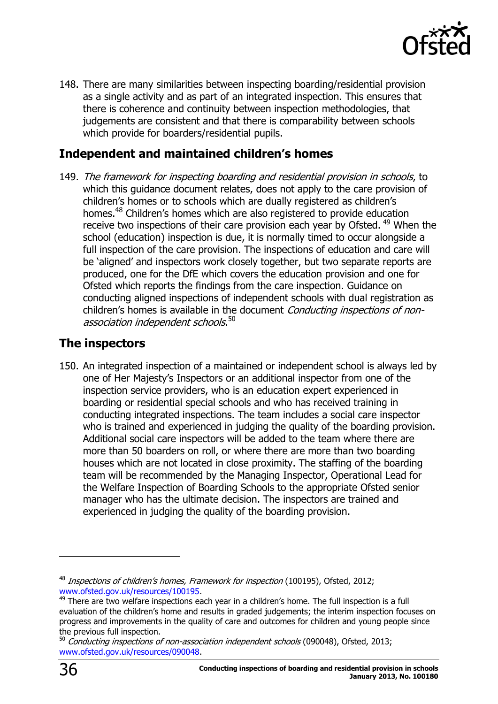

148. There are many similarities between inspecting boarding/residential provision as a single activity and as part of an integrated inspection. This ensures that there is coherence and continuity between inspection methodologies, that judgements are consistent and that there is comparability between schools which provide for boarders/residential pupils.

# <span id="page-35-0"></span>**Independent and maintained children's homes**

149. The framework for inspecting boarding and residential provision in schools, to which this guidance document relates, does not apply to the care provision of children's homes or to schools which are dually registered as children's homes.<sup>48</sup> Children's homes which are also registered to provide education receive two inspections of their care provision each year by Ofsted. <sup>49</sup> When the school (education) inspection is due, it is normally timed to occur alongside a full inspection of the care provision. The inspections of education and care will be 'aligned' and inspectors work closely together, but two separate reports are produced, one for the DfE which covers the education provision and one for Ofsted which reports the findings from the care inspection. Guidance on conducting aligned inspections of independent schools with dual registration as children's homes is available in the document Conducting inspections of nonassociation independent schools.<sup>50</sup>

# <span id="page-35-1"></span>**The inspectors**

150. An integrated inspection of a maintained or independent school is always led by one of Her Majesty's Inspectors or an additional inspector from one of the inspection service providers, who is an education expert experienced in boarding or residential special schools and who has received training in conducting integrated inspections. The team includes a social care inspector who is trained and experienced in judging the quality of the boarding provision. Additional social care inspectors will be added to the team where there are more than 50 boarders on roll, or where there are more than two boarding houses which are not located in close proximity. The staffing of the boarding team will be recommended by the Managing Inspector, Operational Lead for the Welfare Inspection of Boarding Schools to the appropriate Ofsted senior manager who has the ultimate decision. The inspectors are trained and experienced in judging the quality of the boarding provision.

 $\overline{a}$ 

 $48$  Inspections of children's homes, Framework for inspection (100195), Ofsted, 2012; [www.ofsted.gov.uk/resources/100195.](http://www.ofsted.gov.uk/resources/100195)

<sup>&</sup>lt;sup>49</sup> There are two welfare inspections each year in a children's home. The full inspection is a full evaluation of the children's home and results in graded judgements; the interim inspection focuses on progress and improvements in the quality of care and outcomes for children and young people since the previous full inspection.

<sup>&</sup>lt;sup>50</sup> Conducting inspections of non-association independent schools (090048), Ofsted, 2013; [www.ofsted.gov.uk/resources/090048.](http://www.ofsted.gov.uk/resources/090048)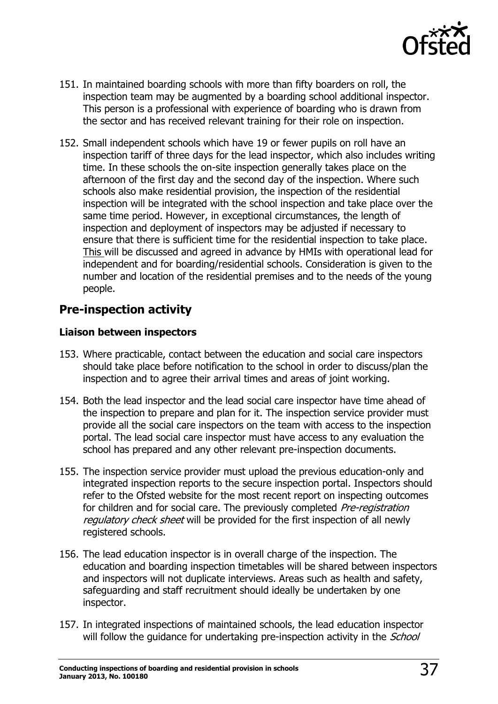

- 151. In maintained boarding schools with more than fifty boarders on roll, the inspection team may be augmented by a boarding school additional inspector. This person is a professional with experience of boarding who is drawn from the sector and has received relevant training for their role on inspection.
- 152. Small independent schools which have 19 or fewer pupils on roll have an inspection tariff of three days for the lead inspector, which also includes writing time. In these schools the on-site inspection generally takes place on the afternoon of the first day and the second day of the inspection. Where such schools also make residential provision, the inspection of the residential inspection will be integrated with the school inspection and take place over the same time period. However, in exceptional circumstances, the length of inspection and deployment of inspectors may be adjusted if necessary to ensure that there is sufficient time for the residential inspection to take place. This will be discussed and agreed in advance by HMIs with operational lead for independent and for boarding/residential schools. Consideration is given to the number and location of the residential premises and to the needs of the young people.

# <span id="page-36-0"></span>**Pre-inspection activity**

#### **Liaison between inspectors**

- 153. Where practicable, contact between the education and social care inspectors should take place before notification to the school in order to discuss/plan the inspection and to agree their arrival times and areas of joint working.
- 154. Both the lead inspector and the lead social care inspector have time ahead of the inspection to prepare and plan for it. The inspection service provider must provide all the social care inspectors on the team with access to the inspection portal. The lead social care inspector must have access to any evaluation the school has prepared and any other relevant pre-inspection documents.
- 155. The inspection service provider must upload the previous education-only and integrated inspection reports to the secure inspection portal. Inspectors should refer to the Ofsted website for the most recent report on inspecting outcomes for children and for social care. The previously completed *Pre-registration* regulatory check sheet will be provided for the first inspection of all newly registered schools.
- 156. The lead education inspector is in overall charge of the inspection. The education and boarding inspection timetables will be shared between inspectors and inspectors will not duplicate interviews. Areas such as health and safety, safeguarding and staff recruitment should ideally be undertaken by one inspector.
- 157. In integrated inspections of maintained schools, the lead education inspector will follow the guidance for undertaking pre-inspection activity in the *School*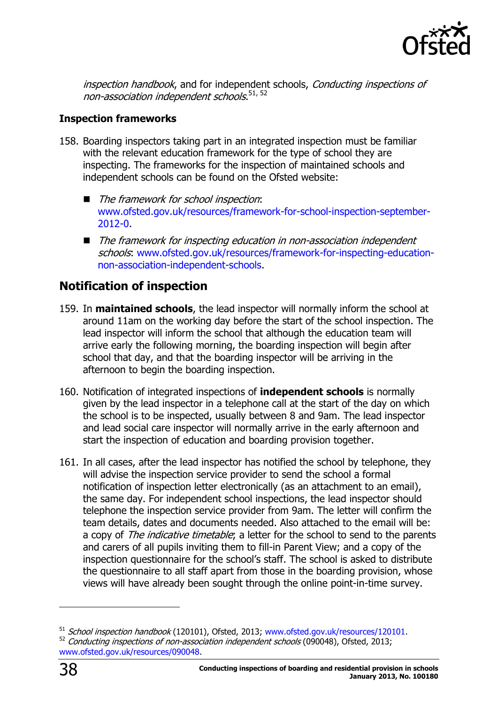

inspection handbook, and for independent schools, Conducting inspections of non-association independent schools.<sup>51, 52</sup>

#### **Inspection frameworks**

- 158. Boarding inspectors taking part in an integrated inspection must be familiar with the relevant education framework for the type of school they are inspecting. The frameworks for the inspection of maintained schools and independent schools can be found on the Ofsted website:
	- The framework for school inspection: [www.ofsted.gov.uk/resources/framework-for-school-inspection-september-](http://www.ofsted.gov.uk/resources/framework-for-school-inspection-september-2012-0)[2012-0.](http://www.ofsted.gov.uk/resources/framework-for-school-inspection-september-2012-0)
	- The framework for inspecting education in non-association independent schools: [www.ofsted.gov.uk/resources/framework-for-inspecting-education](http://www.ofsted.gov.uk/resources/framework-for-inspecting-education-non-association-independent-schools)[non-association-independent-schools.](http://www.ofsted.gov.uk/resources/framework-for-inspecting-education-non-association-independent-schools)

# <span id="page-37-0"></span>**Notification of inspection**

- 159. In **maintained schools**, the lead inspector will normally inform the school at around 11am on the working day before the start of the school inspection. The lead inspector will inform the school that although the education team will arrive early the following morning, the boarding inspection will begin after school that day, and that the boarding inspector will be arriving in the afternoon to begin the boarding inspection.
- 160. Notification of integrated inspections of **independent schools** is normally given by the lead inspector in a telephone call at the start of the day on which the school is to be inspected, usually between 8 and 9am. The lead inspector and lead social care inspector will normally arrive in the early afternoon and start the inspection of education and boarding provision together.
- 161. In all cases, after the lead inspector has notified the school by telephone, they will advise the inspection service provider to send the school a formal notification of inspection letter electronically (as an attachment to an email), the same day. For independent school inspections, the lead inspector should telephone the inspection service provider from 9am. The letter will confirm the team details, dates and documents needed. Also attached to the email will be: a copy of The indicative timetable; a letter for the school to send to the parents and carers of all pupils inviting them to fill-in Parent View; and a copy of the inspection questionnaire for the school's staff. The school is asked to distribute the questionnaire to all staff apart from those in the boarding provision, whose views will have already been sought through the online point-in-time survey.

-

<sup>&</sup>lt;sup>51</sup> School inspection handbook (120101), Ofsted, 2013; [www.ofsted.gov.uk/resources/120101.](http://www.ofsted.gov.uk/resources/120101) 52 Conducting inspections of non-association independent schools (090048), Ofsted, 2013; [www.ofsted.gov.uk/resources/090048.](http://www.ofsted.gov.uk/resources/090048)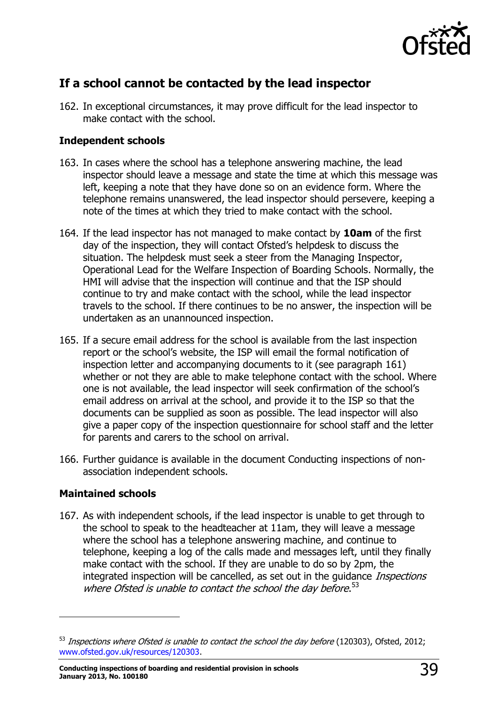

# <span id="page-38-0"></span>**If a school cannot be contacted by the lead inspector**

162. In exceptional circumstances, it may prove difficult for the lead inspector to make contact with the school.

#### **Independent schools**

- 163. In cases where the school has a telephone answering machine, the lead inspector should leave a message and state the time at which this message was left, keeping a note that they have done so on an evidence form. Where the telephone remains unanswered, the lead inspector should persevere, keeping a note of the times at which they tried to make contact with the school.
- 164. If the lead inspector has not managed to make contact by **10am** of the first day of the inspection, they will contact Ofsted's helpdesk to discuss the situation. The helpdesk must seek a steer from the Managing Inspector, Operational Lead for the Welfare Inspection of Boarding Schools. Normally, the HMI will advise that the inspection will continue and that the ISP should continue to try and make contact with the school, while the lead inspector travels to the school. If there continues to be no answer, the inspection will be undertaken as an unannounced inspection.
- 165. If a secure email address for the school is available from the last inspection report or the school's website, the ISP will email the formal notification of inspection letter and accompanying documents to it (see paragraph 161) whether or not they are able to make telephone contact with the school. Where one is not available, the lead inspector will seek confirmation of the school's email address on arrival at the school, and provide it to the ISP so that the documents can be supplied as soon as possible. The lead inspector will also give a paper copy of the inspection questionnaire for school staff and the letter for parents and carers to the school on arrival.
- 166. Further guidance is available in the document Conducting inspections of nonassociation independent schools.

#### **Maintained schools**

j

167. As with independent schools, if the lead inspector is unable to get through to the school to speak to the headteacher at 11am, they will leave a message where the school has a telephone answering machine, and continue to telephone, keeping a log of the calls made and messages left, until they finally make contact with the school. If they are unable to do so by 2pm, the integrated inspection will be cancelled, as set out in the guidance *Inspections* where Ofsted is unable to contact the school the day before.<sup>53</sup>

 $53$  Inspections where Ofsted is unable to contact the school the day before (120303), Ofsted, 2012; [www.ofsted.gov.uk/resources/120303.](http://www.ofsted.gov.uk/resources/120303)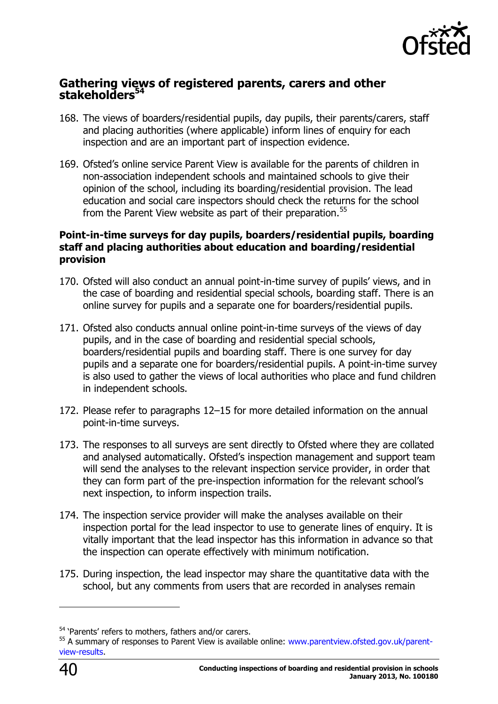

#### <span id="page-39-0"></span>**Gathering views of registered parents, carers and other stakeholders<sup>54</sup>**

- 168. The views of boarders/residential pupils, day pupils, their parents/carers, staff and placing authorities (where applicable) inform lines of enquiry for each inspection and are an important part of inspection evidence.
- 169. Ofsted's online service Parent View is available for the parents of children in non-association independent schools and maintained schools to give their opinion of the school, including its boarding/residential provision. The lead education and social care inspectors should check the returns for the school from the Parent View website as part of their preparation.<sup>55</sup>

#### **Point-in-time surveys for day pupils, boarders/residential pupils, boarding staff and placing authorities about education and boarding/residential provision**

- 170. Ofsted will also conduct an annual point-in-time survey of pupils' views, and in the case of boarding and residential special schools, boarding staff. There is an online survey for pupils and a separate one for boarders/residential pupils.
- 171. Ofsted also conducts annual online point-in-time surveys of the views of day pupils, and in the case of boarding and residential special schools, boarders/residential pupils and boarding staff. There is one survey for day pupils and a separate one for boarders/residential pupils. A point-in-time survey is also used to gather the views of local authorities who place and fund children in independent schools.
- 172. Please refer to paragraphs 12–15 for more detailed information on the annual point-in-time surveys.
- 173. The responses to all surveys are sent directly to Ofsted where they are collated and analysed automatically. Ofsted's inspection management and support team will send the analyses to the relevant inspection service provider, in order that they can form part of the pre-inspection information for the relevant school's next inspection, to inform inspection trails.
- 174. The inspection service provider will make the analyses available on their inspection portal for the lead inspector to use to generate lines of enquiry. It is vitally important that the lead inspector has this information in advance so that the inspection can operate effectively with minimum notification.
- 175. During inspection, the lead inspector may share the quantitative data with the school, but any comments from users that are recorded in analyses remain

-

<sup>&</sup>lt;sup>54</sup> 'Parents' refers to mothers, fathers and/or carers.

<sup>55</sup> A summary of responses to Parent View is available online: [www.parentview.ofsted.gov.uk/parent](http://www.parentview.ofsted.gov.uk/parent-view-results)[view-results.](http://www.parentview.ofsted.gov.uk/parent-view-results)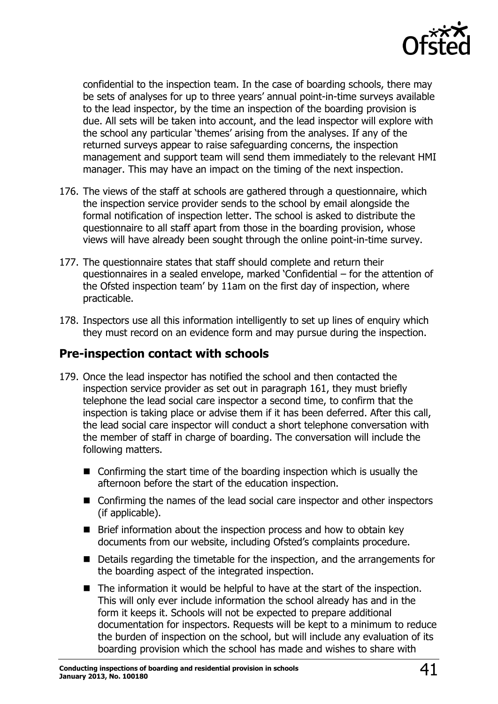

confidential to the inspection team. In the case of boarding schools, there may be sets of analyses for up to three years' annual point-in-time surveys available to the lead inspector, by the time an inspection of the boarding provision is due. All sets will be taken into account, and the lead inspector will explore with the school any particular 'themes' arising from the analyses. If any of the returned surveys appear to raise safeguarding concerns, the inspection management and support team will send them immediately to the relevant HMI manager. This may have an impact on the timing of the next inspection.

- 176. The views of the staff at schools are gathered through a questionnaire, which the inspection service provider sends to the school by email alongside the formal notification of inspection letter. The school is asked to distribute the questionnaire to all staff apart from those in the boarding provision, whose views will have already been sought through the online point-in-time survey.
- 177. The questionnaire states that staff should complete and return their questionnaires in a sealed envelope, marked 'Confidential – for the attention of the Ofsted inspection team' by 11am on the first day of inspection, where practicable.
- 178. Inspectors use all this information intelligently to set up lines of enquiry which they must record on an evidence form and may pursue during the inspection.

## <span id="page-40-0"></span>**Pre-inspection contact with schools**

- 179. Once the lead inspector has notified the school and then contacted the inspection service provider as set out in paragraph 161, they must briefly telephone the lead social care inspector a second time, to confirm that the inspection is taking place or advise them if it has been deferred. After this call, the lead social care inspector will conduct a short telephone conversation with the member of staff in charge of boarding. The conversation will include the following matters.
	- Confirming the start time of the boarding inspection which is usually the afternoon before the start of the education inspection.
	- Confirming the names of the lead social care inspector and other inspectors (if applicable).
	- $\blacksquare$  Brief information about the inspection process and how to obtain key documents from our website, including Ofsted's complaints procedure.
	- Details regarding the timetable for the inspection, and the arrangements for the boarding aspect of the integrated inspection.
	- The information it would be helpful to have at the start of the inspection. This will only ever include information the school already has and in the form it keeps it. Schools will not be expected to prepare additional documentation for inspectors. Requests will be kept to a minimum to reduce the burden of inspection on the school, but will include any evaluation of its boarding provision which the school has made and wishes to share with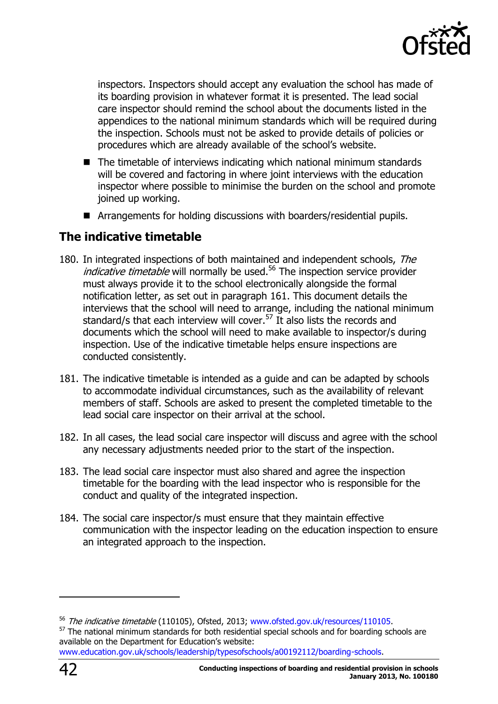

inspectors. Inspectors should accept any evaluation the school has made of its boarding provision in whatever format it is presented. The lead social care inspector should remind the school about the documents listed in the appendices to the national minimum standards which will be required during the inspection. Schools must not be asked to provide details of policies or procedures which are already available of the school's website.

- $\blacksquare$  The timetable of interviews indicating which national minimum standards will be covered and factoring in where joint interviews with the education inspector where possible to minimise the burden on the school and promote joined up working.
- Arrangements for holding discussions with boarders/residential pupils.

## <span id="page-41-0"></span>**The indicative timetable**

- 180. In integrated inspections of both maintained and independent schools, The *indicative timetable* will normally be used.<sup>56</sup> The inspection service provider must always provide it to the school electronically alongside the formal notification letter, as set out in paragraph 161. This document details the interviews that the school will need to arrange, including the national minimum standard/s that each interview will cover.<sup>57</sup> It also lists the records and documents which the school will need to make available to inspector/s during inspection. Use of the indicative timetable helps ensure inspections are conducted consistently.
- 181. The indicative timetable is intended as a guide and can be adapted by schools to accommodate individual circumstances, such as the availability of relevant members of staff. Schools are asked to present the completed timetable to the lead social care inspector on their arrival at the school.
- 182. In all cases, the lead social care inspector will discuss and agree with the school any necessary adjustments needed prior to the start of the inspection.
- 183. The lead social care inspector must also shared and agree the inspection timetable for the boarding with the lead inspector who is responsible for the conduct and quality of the integrated inspection.
- 184. The social care inspector/s must ensure that they maintain effective communication with the inspector leading on the education inspection to ensure an integrated approach to the inspection.

-

<sup>&</sup>lt;sup>56</sup> The indicative timetable (110105), Ofsted, 2013; [www.ofsted.gov.uk/resources/110105.](http://www.ofsted.gov.uk/resources/110105)

<sup>&</sup>lt;sup>57</sup> The national minimum standards for both residential special schools and for boarding schools are available on the Department for Education's website:

[www.education.gov.uk/schools/leadership/typesofschools/a00192112/boarding-schools.](http://www.education.gov.uk/schools/leadership/typesofschools/a00192112/boarding-schools)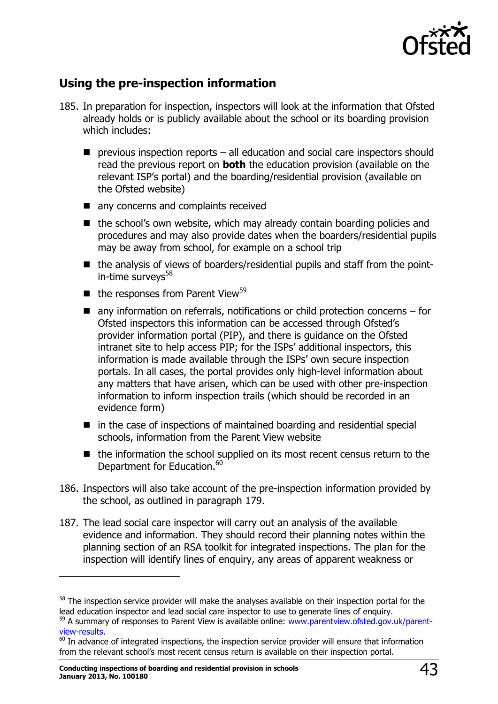

# <span id="page-42-0"></span>**Using the pre-inspection information**

- 185. In preparation for inspection, inspectors will look at the information that Ofsted already holds or is publicly available about the school or its boarding provision which includes:
	- **P** previous inspection reports all education and social care inspectors should read the previous report on **both** the education provision (available on the relevant ISP's portal) and the boarding/residential provision (available on the Ofsted website)
	- any concerns and complaints received
	- $\blacksquare$  the school's own website, which may already contain boarding policies and procedures and may also provide dates when the boarders/residential pupils may be away from school, for example on a school trip
	- the analysis of views of boarders/residential pupils and staff from the pointin-time surveys $58$
	- $\blacksquare$  the responses from Parent View<sup>59</sup>
	- $\blacksquare$  any information on referrals, notifications or child protection concerns for Ofsted inspectors this information can be accessed through Ofsted's provider information portal (PIP), and there is guidance on the Ofsted intranet site to help access PIP; for the ISPs' additional inspectors, this information is made available through the ISPs' own secure inspection portals. In all cases, the portal provides only high-level information about any matters that have arisen, which can be used with other pre-inspection information to inform inspection trails (which should be recorded in an evidence form)
	- $\blacksquare$  in the case of inspections of maintained boarding and residential special schools, information from the Parent View website
	- the information the school supplied on its most recent census return to the Department for Education.<sup>60</sup>
- 186. Inspectors will also take account of the pre-inspection information provided by the school, as outlined in paragraph 179.
- 187. The lead social care inspector will carry out an analysis of the available evidence and information. They should record their planning notes within the planning section of an RSA toolkit for integrated inspections. The plan for the inspection will identify lines of enquiry, any areas of apparent weakness or

j

<sup>&</sup>lt;sup>58</sup> The inspection service provider will make the analyses available on their inspection portal for the lead education inspector and lead social care inspector to use to generate lines of enquiry.

<sup>&</sup>lt;sup>59</sup> A summary of responses to Parent View is available online: [www.parentview.ofsted.gov.uk/parent](http://www.parentview.ofsted.gov.uk/parent-view-results)[view-results.](http://www.parentview.ofsted.gov.uk/parent-view-results)

 $^{60}$  In advance of integrated inspections, the inspection service provider will ensure that information from the relevant school's most recent census return is available on their inspection portal.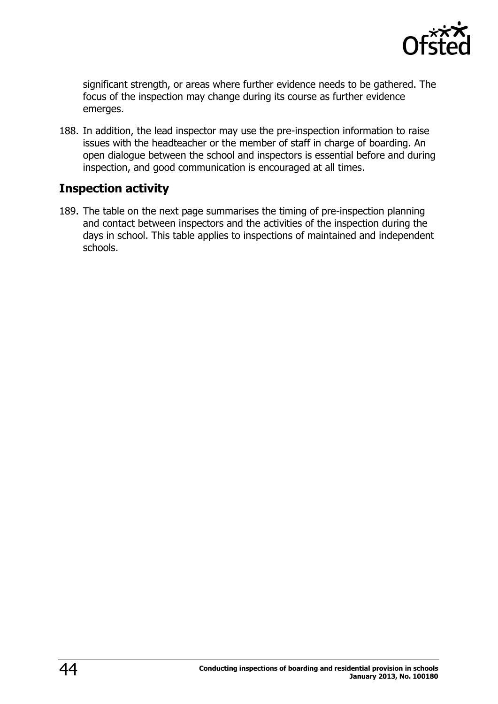

significant strength, or areas where further evidence needs to be gathered. The focus of the inspection may change during its course as further evidence emerges.

188. In addition, the lead inspector may use the pre-inspection information to raise issues with the headteacher or the member of staff in charge of boarding. An open dialogue between the school and inspectors is essential before and during inspection, and good communication is encouraged at all times.

# <span id="page-43-0"></span>**Inspection activity**

189. The table on the next page summarises the timing of pre-inspection planning and contact between inspectors and the activities of the inspection during the days in school. This table applies to inspections of maintained and independent schools.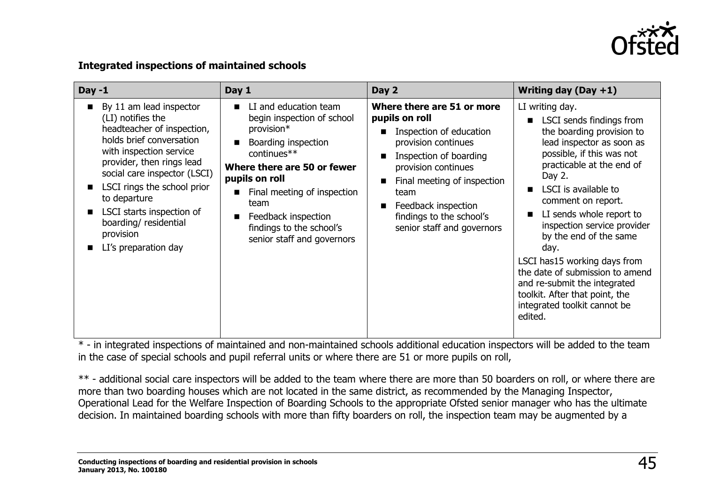

#### **Integrated inspections of maintained schools**

| $Day -1$                                                                                                                                                                                                                                                                                                                                                  | Day 1                                                                                                                                                                                                                                                                                                   | Day 2                                                                                                                                                                                                                                                                                                                                           | Writing day $(Day + 1)$                                                                                                                                                                                                                                                                                                                                                                                                                                                                                                |
|-----------------------------------------------------------------------------------------------------------------------------------------------------------------------------------------------------------------------------------------------------------------------------------------------------------------------------------------------------------|---------------------------------------------------------------------------------------------------------------------------------------------------------------------------------------------------------------------------------------------------------------------------------------------------------|-------------------------------------------------------------------------------------------------------------------------------------------------------------------------------------------------------------------------------------------------------------------------------------------------------------------------------------------------|------------------------------------------------------------------------------------------------------------------------------------------------------------------------------------------------------------------------------------------------------------------------------------------------------------------------------------------------------------------------------------------------------------------------------------------------------------------------------------------------------------------------|
| By 11 am lead inspector<br>$\blacksquare$<br>(LI) notifies the<br>headteacher of inspection,<br>holds brief conversation<br>with inspection service<br>provider, then rings lead<br>social care inspector (LSCI)<br>LSCI rings the school prior<br>to departure<br>LSCI starts inspection of<br>boarding/residential<br>provision<br>LI's preparation day | LI and education team<br>п<br>begin inspection of school<br>provision*<br>Boarding inspection<br>continues**<br>Where there are 50 or fewer<br>pupils on roll<br>Final meeting of inspection<br>team<br>Feedback inspection<br>$\blacksquare$<br>findings to the school's<br>senior staff and governors | Where there are 51 or more<br>pupils on roll<br>Inspection of education<br>$\blacksquare$<br>provision continues<br>Inspection of boarding<br>$\blacksquare$<br>provision continues<br>Final meeting of inspection<br>$\blacksquare$<br>team<br>Feedback inspection<br>$\blacksquare$<br>findings to the school's<br>senior staff and governors | LI writing day.<br>LSCI sends findings from<br>$\blacksquare$<br>the boarding provision to<br>lead inspector as soon as<br>possible, if this was not<br>practicable at the end of<br>Day 2.<br>LSCI is available to<br>comment on report.<br>LI sends whole report to<br>inspection service provider<br>by the end of the same<br>day.<br>LSCI has15 working days from<br>the date of submission to amend<br>and re-submit the integrated<br>toolkit. After that point, the<br>integrated toolkit cannot be<br>edited. |

\* - in integrated inspections of maintained and non-maintained schools additional education inspectors will be added to the team in the case of special schools and pupil referral units or where there are 51 or more pupils on roll,

\*\* - additional social care inspectors will be added to the team where there are more than 50 boarders on roll, or where there are more than two boarding houses which are not located in the same district, as recommended by the Managing Inspector, Operational Lead for the Welfare Inspection of Boarding Schools to the appropriate Ofsted senior manager who has the ultimate decision. In maintained boarding schools with more than fifty boarders on roll, the inspection team may be augmented by a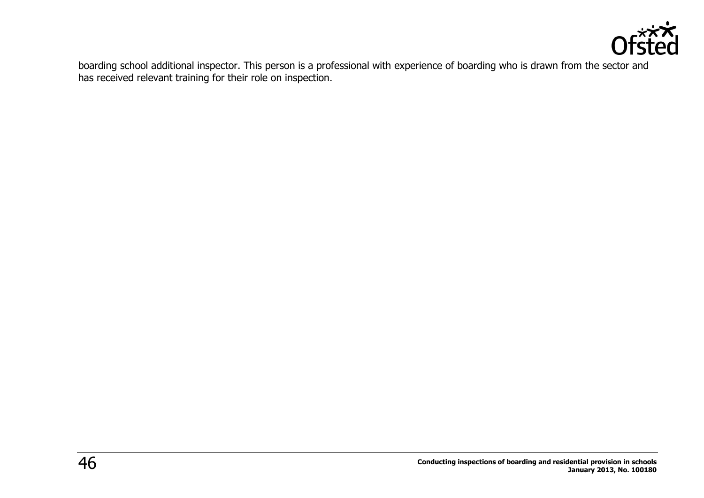

boarding school additional inspector. This person is a professional with experience of boarding who is drawn from the sector and has received relevant training for their role on inspection.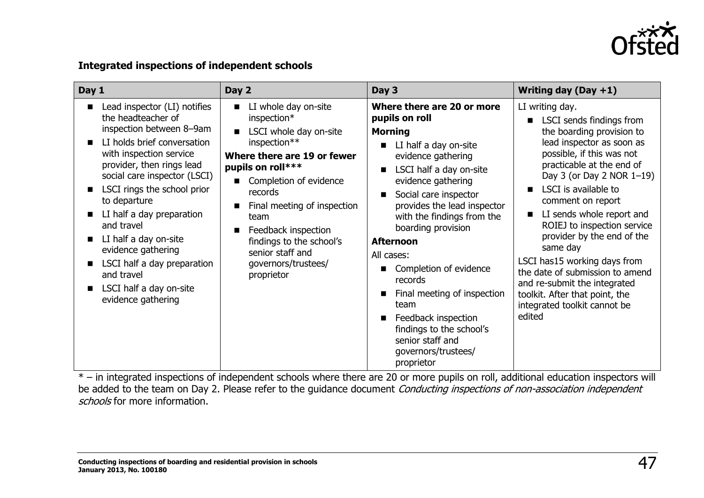

#### **Integrated inspections of independent schools**

| Day 1                                                                                                                                                                                                                                                                                                                                                                                                                                        | Day 2                                                                                                                                                                                                                                                                                                                                                 | Day 3                                                                                                                                                                                                                                                                                                                                                                                                                                                                                                                    | Writing day $(Day + 1)$                                                                                                                                                                                                                                                                                                                                                                                                                                                                                                               |
|----------------------------------------------------------------------------------------------------------------------------------------------------------------------------------------------------------------------------------------------------------------------------------------------------------------------------------------------------------------------------------------------------------------------------------------------|-------------------------------------------------------------------------------------------------------------------------------------------------------------------------------------------------------------------------------------------------------------------------------------------------------------------------------------------------------|--------------------------------------------------------------------------------------------------------------------------------------------------------------------------------------------------------------------------------------------------------------------------------------------------------------------------------------------------------------------------------------------------------------------------------------------------------------------------------------------------------------------------|---------------------------------------------------------------------------------------------------------------------------------------------------------------------------------------------------------------------------------------------------------------------------------------------------------------------------------------------------------------------------------------------------------------------------------------------------------------------------------------------------------------------------------------|
| Lead inspector (LI) notifies<br>the headteacher of<br>inspection between 8-9am<br>LI holds brief conversation<br>with inspection service<br>provider, then rings lead<br>social care inspector (LSCI)<br>LSCI rings the school prior<br>to departure<br>LI half a day preparation<br>and travel<br>LI half a day on-site<br>evidence gathering<br>LSCI half a day preparation<br>and travel<br>LSCI half a day on-site<br>evidence gathering | LI whole day on-site<br>$\blacksquare$<br>inspection*<br>LSCI whole day on-site<br>inspection**<br>Where there are 19 or fewer<br>pupils on roll***<br>Completion of evidence<br>records<br>Final meeting of inspection<br>п<br>team<br>Feedback inspection<br>п<br>findings to the school's<br>senior staff and<br>governors/trustees/<br>proprietor | Where there are 20 or more<br>pupils on roll<br><b>Morning</b><br>LI half a day on-site<br>evidence gathering<br>LSCI half a day on-site<br>п<br>evidence gathering<br>Social care inspector<br>п<br>provides the lead inspector<br>with the findings from the<br>boarding provision<br><b>Afternoon</b><br>All cases:<br>Completion of evidence<br>records<br>Final meeting of inspection<br>п<br>team<br>Feedback inspection<br>п<br>findings to the school's<br>senior staff and<br>governors/trustees/<br>proprietor | LI writing day.<br><b>LSCI</b> sends findings from<br>the boarding provision to<br>lead inspector as soon as<br>possible, if this was not<br>practicable at the end of<br>Day 3 (or Day 2 NOR 1-19)<br>LSCI is available to<br>comment on report<br>LI sends whole report and<br>ROIEJ to inspection service<br>provider by the end of the<br>same day<br>LSCI has15 working days from<br>the date of submission to amend<br>and re-submit the integrated<br>toolkit. After that point, the<br>integrated toolkit cannot be<br>edited |

\* – in integrated inspections of independent schools where there are 20 or more pupils on roll, additional education inspectors will be added to the team on Day 2. Please refer to the guidance document Conducting inspections of non-association independent schools for more information.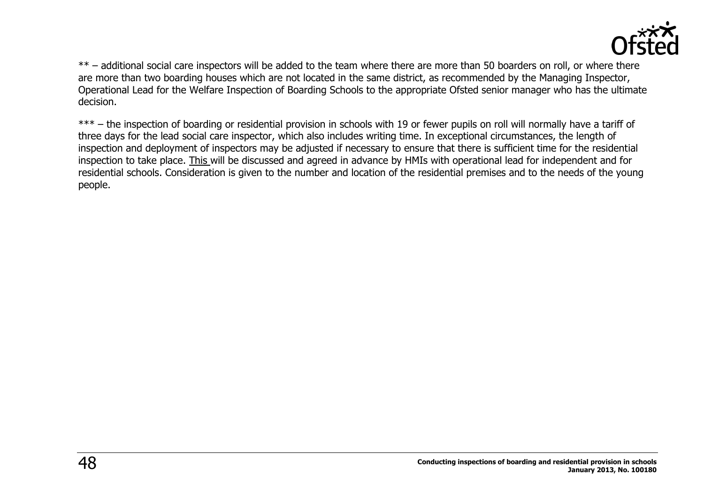

\*\* – additional social care inspectors will be added to the team where there are more than 50 boarders on roll, or where there are more than two boarding houses which are not located in the same district, as recommended by the Managing Inspector, Operational Lead for the Welfare Inspection of Boarding Schools to the appropriate Ofsted senior manager who has the ultimate decision.

\*\*\* – the inspection of boarding or residential provision in schools with 19 or fewer pupils on roll will normally have a tariff of three days for the lead social care inspector, which also includes writing time. In exceptional circumstances, the length of inspection and deployment of inspectors may be adjusted if necessary to ensure that there is sufficient time for the residential inspection to take place. This will be discussed and agreed in advance by HMIs with operational lead for independent and for residential schools. Consideration is given to the number and location of the residential premises and to the needs of the young people.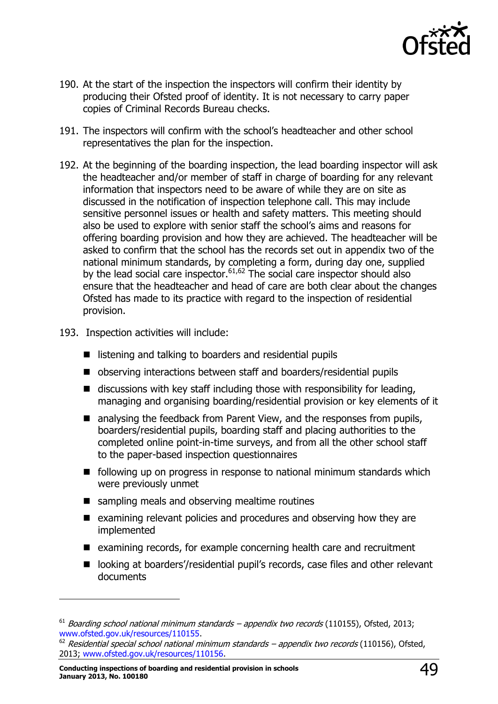

- 190. At the start of the inspection the inspectors will confirm their identity by producing their Ofsted proof of identity. It is not necessary to carry paper copies of Criminal Records Bureau checks.
- 191. The inspectors will confirm with the school's headteacher and other school representatives the plan for the inspection.
- 192. At the beginning of the boarding inspection, the lead boarding inspector will ask the headteacher and/or member of staff in charge of boarding for any relevant information that inspectors need to be aware of while they are on site as discussed in the notification of inspection telephone call. This may include sensitive personnel issues or health and safety matters. This meeting should also be used to explore with senior staff the school's aims and reasons for offering boarding provision and how they are achieved. The headteacher will be asked to confirm that the school has the records set out in appendix two of the national minimum standards, by completing a form, during day one, supplied by the lead social care inspector.  $61,62$  The social care inspector should also ensure that the headteacher and head of care are both clear about the changes Ofsted has made to its practice with regard to the inspection of residential provision.
- 193. Inspection activities will include:
	- $\blacksquare$  listening and talking to boarders and residential pupils
	- observing interactions between staff and boarders/residential pupils
	- $\blacksquare$  discussions with key staff including those with responsibility for leading, managing and organising boarding/residential provision or key elements of it
	- analysing the feedback from Parent View, and the responses from pupils, boarders/residential pupils, boarding staff and placing authorities to the completed online point-in-time surveys, and from all the other school staff to the paper-based inspection questionnaires
	- $\blacksquare$  following up on progress in response to national minimum standards which were previously unmet
	- sampling meals and observing mealtime routines
	- $\blacksquare$  examining relevant policies and procedures and observing how they are implemented
	- examining records, for example concerning health care and recruitment
	- looking at boarders'/residential pupil's records, case files and other relevant documents

 $\overline{a}$ 

 $61$  Boarding school national minimum standards – appendix two records (110155), Ofsted, 2013; [www.ofsted.gov.uk/resources/110155.](http://www.ofsted.gov.uk/resources/110155)

 $62$  Residential special school national minimum standards – appendix two records (110156), Ofsted, 2013; [www.ofsted.gov.uk/resources/110156.](http://www.ofsted.gov.uk/resources/110156)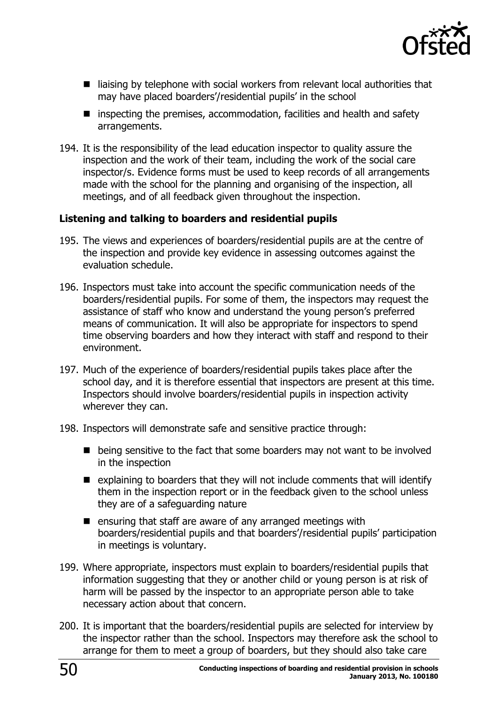

- $\blacksquare$  liaising by telephone with social workers from relevant local authorities that may have placed boarders'/residential pupils' in the school
- $\blacksquare$  inspecting the premises, accommodation, facilities and health and safety arrangements.
- 194. It is the responsibility of the lead education inspector to quality assure the inspection and the work of their team, including the work of the social care inspector/s. Evidence forms must be used to keep records of all arrangements made with the school for the planning and organising of the inspection, all meetings, and of all feedback given throughout the inspection.

#### **Listening and talking to boarders and residential pupils**

- 195. The views and experiences of boarders/residential pupils are at the centre of the inspection and provide key evidence in assessing outcomes against the evaluation schedule.
- 196. Inspectors must take into account the specific communication needs of the boarders/residential pupils. For some of them, the inspectors may request the assistance of staff who know and understand the young person's preferred means of communication. It will also be appropriate for inspectors to spend time observing boarders and how they interact with staff and respond to their environment.
- 197. Much of the experience of boarders/residential pupils takes place after the school day, and it is therefore essential that inspectors are present at this time. Inspectors should involve boarders/residential pupils in inspection activity wherever they can.
- 198. Inspectors will demonstrate safe and sensitive practice through:
	- being sensitive to the fact that some boarders may not want to be involved in the inspection
	- $\blacksquare$  explaining to boarders that they will not include comments that will identify them in the inspection report or in the feedback given to the school unless they are of a safeguarding nature
	- $\blacksquare$  ensuring that staff are aware of any arranged meetings with boarders/residential pupils and that boarders'/residential pupils' participation in meetings is voluntary.
- 199. Where appropriate, inspectors must explain to boarders/residential pupils that information suggesting that they or another child or young person is at risk of harm will be passed by the inspector to an appropriate person able to take necessary action about that concern.
- 200. It is important that the boarders/residential pupils are selected for interview by the inspector rather than the school. Inspectors may therefore ask the school to arrange for them to meet a group of boarders, but they should also take care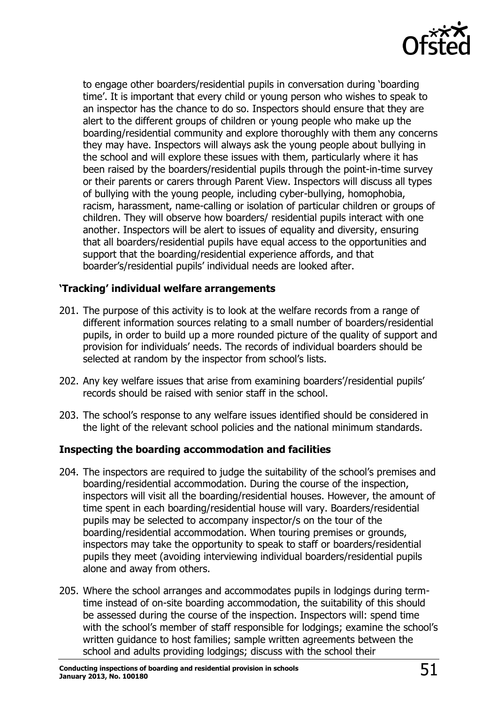

to engage other boarders/residential pupils in conversation during 'boarding time'. It is important that every child or young person who wishes to speak to an inspector has the chance to do so. Inspectors should ensure that they are alert to the different groups of children or young people who make up the boarding/residential community and explore thoroughly with them any concerns they may have. Inspectors will always ask the young people about bullying in the school and will explore these issues with them, particularly where it has been raised by the boarders/residential pupils through the point-in-time survey or their parents or carers through Parent View. Inspectors will discuss all types of bullying with the young people, including cyber-bullying, homophobia, racism, harassment, name-calling or isolation of particular children or groups of children. They will observe how boarders/ residential pupils interact with one another. Inspectors will be alert to issues of equality and diversity, ensuring that all boarders/residential pupils have equal access to the opportunities and support that the boarding/residential experience affords, and that boarder's/residential pupils' individual needs are looked after.

#### **'Tracking' individual welfare arrangements**

- 201. The purpose of this activity is to look at the welfare records from a range of different information sources relating to a small number of boarders/residential pupils, in order to build up a more rounded picture of the quality of support and provision for individuals' needs. The records of individual boarders should be selected at random by the inspector from school's lists.
- 202. Any key welfare issues that arise from examining boarders'/residential pupils' records should be raised with senior staff in the school.
- 203. The school's response to any welfare issues identified should be considered in the light of the relevant school policies and the national minimum standards.

#### **Inspecting the boarding accommodation and facilities**

- 204. The inspectors are required to judge the suitability of the school's premises and boarding/residential accommodation. During the course of the inspection, inspectors will visit all the boarding/residential houses. However, the amount of time spent in each boarding/residential house will vary. Boarders/residential pupils may be selected to accompany inspector/s on the tour of the boarding/residential accommodation. When touring premises or grounds, inspectors may take the opportunity to speak to staff or boarders/residential pupils they meet (avoiding interviewing individual boarders/residential pupils alone and away from others.
- 205. Where the school arranges and accommodates pupils in lodgings during termtime instead of on-site boarding accommodation, the suitability of this should be assessed during the course of the inspection. Inspectors will: spend time with the school's member of staff responsible for lodgings; examine the school's written guidance to host families; sample written agreements between the school and adults providing lodgings; discuss with the school their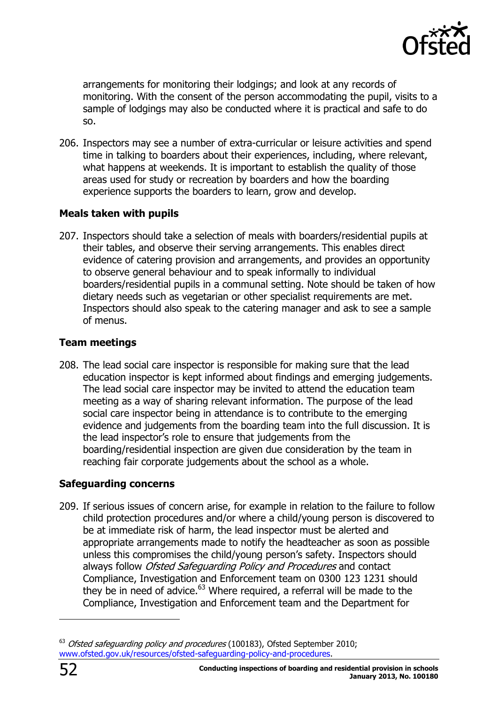

arrangements for monitoring their lodgings; and look at any records of monitoring. With the consent of the person accommodating the pupil, visits to a sample of lodgings may also be conducted where it is practical and safe to do so.

206. Inspectors may see a number of extra-curricular or leisure activities and spend time in talking to boarders about their experiences, including, where relevant, what happens at weekends. It is important to establish the quality of those areas used for study or recreation by boarders and how the boarding experience supports the boarders to learn, grow and develop.

#### **Meals taken with pupils**

207. Inspectors should take a selection of meals with boarders/residential pupils at their tables, and observe their serving arrangements. This enables direct evidence of catering provision and arrangements, and provides an opportunity to observe general behaviour and to speak informally to individual boarders/residential pupils in a communal setting. Note should be taken of how dietary needs such as vegetarian or other specialist requirements are met. Inspectors should also speak to the catering manager and ask to see a sample of menus.

#### **Team meetings**

208. The lead social care inspector is responsible for making sure that the lead education inspector is kept informed about findings and emerging judgements. The lead social care inspector may be invited to attend the education team meeting as a way of sharing relevant information. The purpose of the lead social care inspector being in attendance is to contribute to the emerging evidence and judgements from the boarding team into the full discussion. It is the lead inspector's role to ensure that judgements from the boarding/residential inspection are given due consideration by the team in reaching fair corporate judgements about the school as a whole.

#### **Safeguarding concerns**

209. If serious issues of concern arise, for example in relation to the failure to follow child protection procedures and/or where a child/young person is discovered to be at immediate risk of harm, the lead inspector must be alerted and appropriate arrangements made to notify the headteacher as soon as possible unless this compromises the child/young person's safety. Inspectors should always follow Ofsted Safeguarding Policy and Procedures and contact Compliance, Investigation and Enforcement team on 0300 123 1231 should they be in need of advice.<sup>63</sup> Where required, a referral will be made to the Compliance, Investigation and Enforcement team and the Department for

-

<sup>&</sup>lt;sup>63</sup> Ofsted safeguarding policy and procedures (100183), Ofsted September 2010; [www.ofsted.gov.uk/resources/ofsted-safeguarding-policy-and-procedures.](http://www.ofsted.gov.uk/resources/ofsted-safeguarding-policy-and-procedures)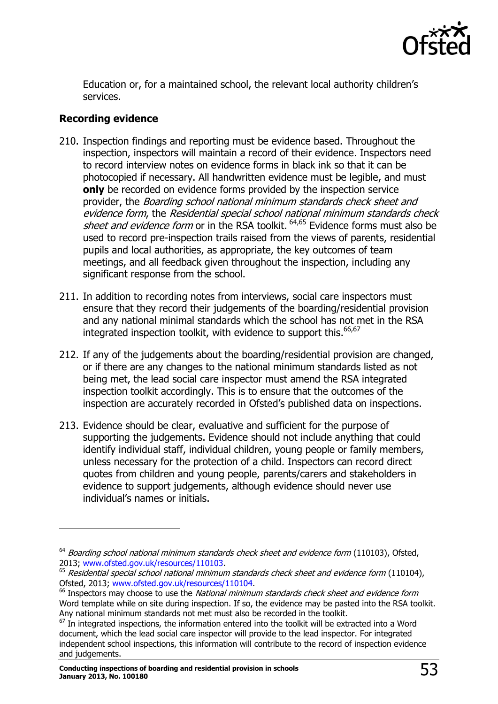

Education or, for a maintained school, the relevant local authority children's services.

#### **Recording evidence**

j

- 210. Inspection findings and reporting must be evidence based. Throughout the inspection, inspectors will maintain a record of their evidence. Inspectors need to record interview notes on evidence forms in black ink so that it can be photocopied if necessary. All handwritten evidence must be legible, and must **only** be recorded on evidence forms provided by the inspection service provider, the Boarding school national minimum standards check sheet and evidence form, the Residential special school national minimum standards check sheet and evidence form or in the RSA toolkit.  $64,65$  Evidence forms must also be used to record pre-inspection trails raised from the views of parents, residential pupils and local authorities, as appropriate, the key outcomes of team meetings, and all feedback given throughout the inspection, including any significant response from the school.
- 211. In addition to recording notes from interviews, social care inspectors must ensure that they record their judgements of the boarding/residential provision and any national minimal standards which the school has not met in the RSA integrated inspection toolkit, with evidence to support this. $66,67$
- 212. If any of the judgements about the boarding/residential provision are changed, or if there are any changes to the national minimum standards listed as not being met, the lead social care inspector must amend the RSA integrated inspection toolkit accordingly. This is to ensure that the outcomes of the inspection are accurately recorded in Ofsted's published data on inspections.
- 213. Evidence should be clear, evaluative and sufficient for the purpose of supporting the judgements. Evidence should not include anything that could identify individual staff, individual children, young people or family members, unless necessary for the protection of a child. Inspectors can record direct quotes from children and young people, parents/carers and stakeholders in evidence to support judgements, although evidence should never use individual's names or initials.

 $64$  Boarding school national minimum standards check sheet and evidence form (110103), Ofsted, 2013; [www.ofsted.gov.uk/resources/110103.](http://www.ofsted.gov.uk/resources/boarding-school-national-minimum-standards-check-sheet-and-evidence-form)

 $65$  Residential special school national minimum standards check sheet and evidence form (110104), Ofsted, 2013; [www.ofsted.gov.uk/resources/110104.](http://www.ofsted.gov.uk/resources/residential-special-school-national-minimum-standards-check-sheet-and-evidence-form)

 $66$  Inspectors may choose to use the National minimum standards check sheet and evidence form Word template while on site during inspection. If so, the evidence may be pasted into the RSA toolkit. Any national minimum standards not met must also be recorded in the toolkit.

 $67$  In integrated inspections, the information entered into the toolkit will be extracted into a Word document, which the lead social care inspector will provide to the lead inspector. For integrated independent school inspections, this information will contribute to the record of inspection evidence and judgements.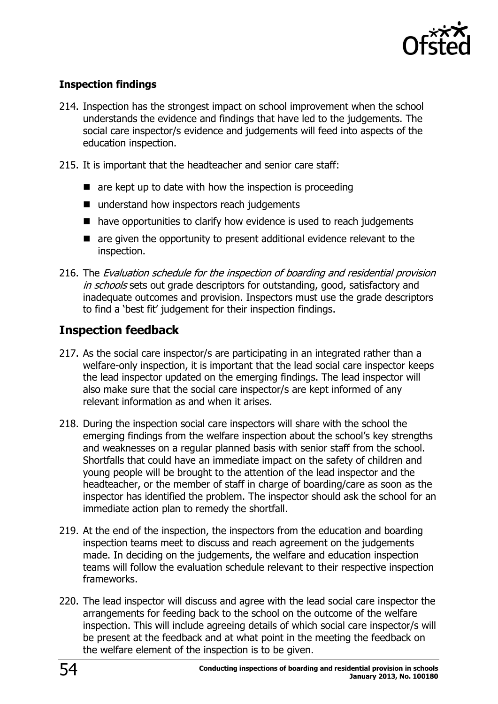

#### **Inspection findings**

- 214. Inspection has the strongest impact on school improvement when the school understands the evidence and findings that have led to the judgements. The social care inspector/s evidence and judgements will feed into aspects of the education inspection.
- 215. It is important that the headteacher and senior care staff:
	- $\blacksquare$  are kept up to date with how the inspection is proceeding
	- understand how inspectors reach judgements
	- have opportunities to clarify how evidence is used to reach judgements
	- are given the opportunity to present additional evidence relevant to the inspection.
- 216. The Evaluation schedule for the inspection of boarding and residential provision in schools sets out grade descriptors for outstanding, good, satisfactory and inadequate outcomes and provision. Inspectors must use the grade descriptors to find a 'best fit' judgement for their inspection findings.

# <span id="page-53-0"></span>**Inspection feedback**

- 217. As the social care inspector/s are participating in an integrated rather than a welfare-only inspection, it is important that the lead social care inspector keeps the lead inspector updated on the emerging findings. The lead inspector will also make sure that the social care inspector/s are kept informed of any relevant information as and when it arises.
- 218. During the inspection social care inspectors will share with the school the emerging findings from the welfare inspection about the school's key strengths and weaknesses on a regular planned basis with senior staff from the school. Shortfalls that could have an immediate impact on the safety of children and young people will be brought to the attention of the lead inspector and the headteacher, or the member of staff in charge of boarding/care as soon as the inspector has identified the problem. The inspector should ask the school for an immediate action plan to remedy the shortfall.
- 219. At the end of the inspection, the inspectors from the education and boarding inspection teams meet to discuss and reach agreement on the judgements made. In deciding on the judgements, the welfare and education inspection teams will follow the evaluation schedule relevant to their respective inspection frameworks.
- 220. The lead inspector will discuss and agree with the lead social care inspector the arrangements for feeding back to the school on the outcome of the welfare inspection. This will include agreeing details of which social care inspector/s will be present at the feedback and at what point in the meeting the feedback on the welfare element of the inspection is to be given.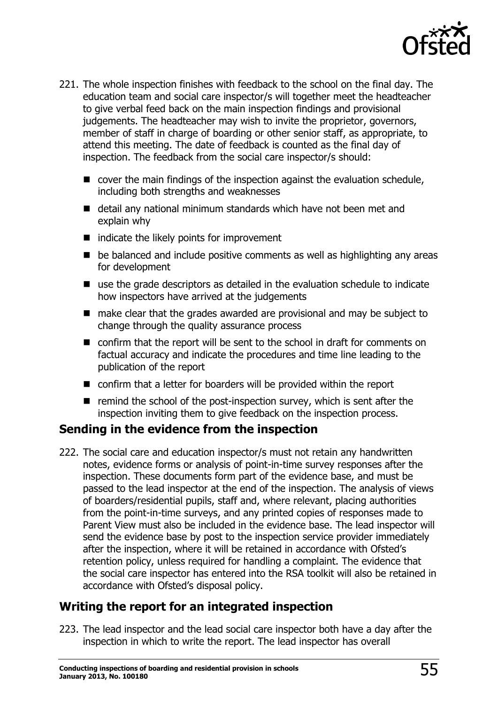

- 221. The whole inspection finishes with feedback to the school on the final day. The education team and social care inspector/s will together meet the headteacher to give verbal feed back on the main inspection findings and provisional judgements. The headteacher may wish to invite the proprietor, governors, member of staff in charge of boarding or other senior staff, as appropriate, to attend this meeting. The date of feedback is counted as the final day of inspection. The feedback from the social care inspector/s should:
	- cover the main findings of the inspection against the evaluation schedule, including both strengths and weaknesses
	- detail any national minimum standards which have not been met and explain why
	- $\blacksquare$  indicate the likely points for improvement
	- be balanced and include positive comments as well as highlighting any areas for development
	- use the grade descriptors as detailed in the evaluation schedule to indicate how inspectors have arrived at the judgements
	- make clear that the grades awarded are provisional and may be subject to change through the quality assurance process
	- confirm that the report will be sent to the school in draft for comments on factual accuracy and indicate the procedures and time line leading to the publication of the report
	- confirm that a letter for boarders will be provided within the report
	- $\blacksquare$  remind the school of the post-inspection survey, which is sent after the inspection inviting them to give feedback on the inspection process.

#### <span id="page-54-0"></span>**Sending in the evidence from the inspection**

222. The social care and education inspector/s must not retain any handwritten notes, evidence forms or analysis of point-in-time survey responses after the inspection. These documents form part of the evidence base, and must be passed to the lead inspector at the end of the inspection. The analysis of views of boarders/residential pupils, staff and, where relevant, placing authorities from the point-in-time surveys, and any printed copies of responses made to Parent View must also be included in the evidence base. The lead inspector will send the evidence base by post to the inspection service provider immediately after the inspection, where it will be retained in accordance with Ofsted's retention policy, unless required for handling a complaint. The evidence that the social care inspector has entered into the RSA toolkit will also be retained in accordance with Ofsted's disposal policy.

## <span id="page-54-1"></span>**Writing the report for an integrated inspection**

223. The lead inspector and the lead social care inspector both have a day after the inspection in which to write the report. The lead inspector has overall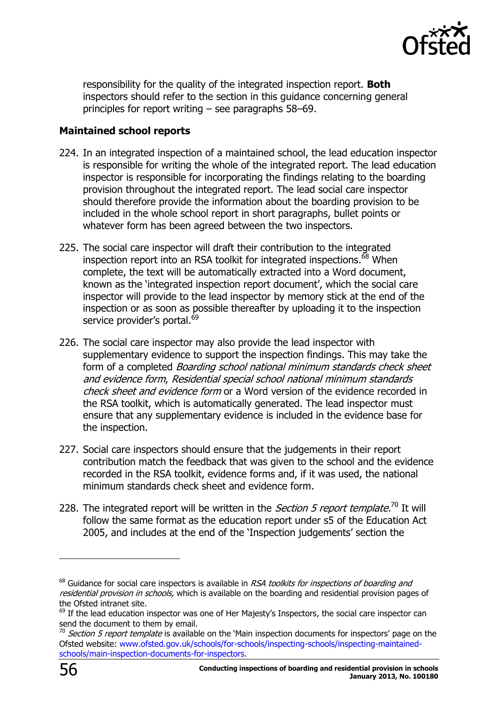

responsibility for the quality of the integrated inspection report. **Both** inspectors should refer to the section in this guidance concerning general principles for report writing – see paragraphs 58–69.

#### **Maintained school reports**

- 224. In an integrated inspection of a maintained school, the lead education inspector is responsible for writing the whole of the integrated report. The lead education inspector is responsible for incorporating the findings relating to the boarding provision throughout the integrated report. The lead social care inspector should therefore provide the information about the boarding provision to be included in the whole school report in short paragraphs, bullet points or whatever form has been agreed between the two inspectors.
- 225. The social care inspector will draft their contribution to the integrated inspection report into an RSA toolkit for integrated inspections.<sup>68</sup> When complete, the text will be automatically extracted into a Word document, known as the 'integrated inspection report document', which the social care inspector will provide to the lead inspector by memory stick at the end of the inspection or as soon as possible thereafter by uploading it to the inspection service provider's portal.<sup>69</sup>
- 226. The social care inspector may also provide the lead inspector with supplementary evidence to support the inspection findings. This may take the form of a completed *Boarding school national minimum standards check sheet* and evidence form, Residential special school national minimum standards check sheet and evidence form or a Word version of the evidence recorded in the RSA toolkit, which is automatically generated. The lead inspector must ensure that any supplementary evidence is included in the evidence base for the inspection.
- 227. Social care inspectors should ensure that the judgements in their report contribution match the feedback that was given to the school and the evidence recorded in the RSA toolkit, evidence forms and, if it was used, the national minimum standards check sheet and evidence form.
- 228. The integrated report will be written in the *Section 5 report template.*<sup>70</sup> It will follow the same format as the education report under s5 of the Education Act 2005, and includes at the end of the 'Inspection judgements' section the

 $\overline{a}$ 

 $68$  Guidance for social care inspectors is available in RSA toolkits for inspections of boarding and residential provision in schools, which is available on the boarding and residential provision pages of the Ofsted intranet site.

<sup>&</sup>lt;sup>69</sup> If the lead education inspector was one of Her Majesty's Inspectors, the social care inspector can send the document to them by email.

 $70$  Section 5 report template is available on the 'Main inspection documents for inspectors' page on the Ofsted website: [www.ofsted.gov.uk/schools/for-schools/inspecting-schools/inspecting-maintained](http://www.ofsted.gov.uk/schools/for-schools/inspecting-schools/inspecting-maintained-schools/main-inspection-documents-for-inspectors)[schools/main-inspection-documents-for-inspectors.](http://www.ofsted.gov.uk/schools/for-schools/inspecting-schools/inspecting-maintained-schools/main-inspection-documents-for-inspectors)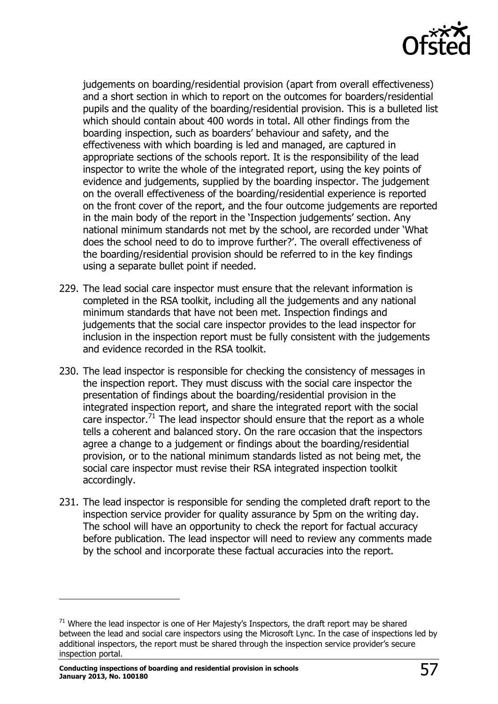

judgements on boarding/residential provision (apart from overall effectiveness) and a short section in which to report on the outcomes for boarders/residential pupils and the quality of the boarding/residential provision. This is a bulleted list which should contain about 400 words in total. All other findings from the boarding inspection, such as boarders' behaviour and safety, and the effectiveness with which boarding is led and managed, are captured in appropriate sections of the schools report. It is the responsibility of the lead inspector to write the whole of the integrated report, using the key points of evidence and judgements, supplied by the boarding inspector. The judgement on the overall effectiveness of the boarding/residential experience is reported on the front cover of the report, and the four outcome judgements are reported in the main body of the report in the 'Inspection judgements' section. Any national minimum standards not met by the school, are recorded under 'What does the school need to do to improve further?'. The overall effectiveness of the boarding/residential provision should be referred to in the key findings using a separate bullet point if needed.

- 229. The lead social care inspector must ensure that the relevant information is completed in the RSA toolkit, including all the judgements and any national minimum standards that have not been met. Inspection findings and judgements that the social care inspector provides to the lead inspector for inclusion in the inspection report must be fully consistent with the judgements and evidence recorded in the RSA toolkit.
- 230. The lead inspector is responsible for checking the consistency of messages in the inspection report. They must discuss with the social care inspector the presentation of findings about the boarding/residential provision in the integrated inspection report, and share the integrated report with the social care inspector.<sup>71</sup> The lead inspector should ensure that the report as a whole tells a coherent and balanced story. On the rare occasion that the inspectors agree a change to a judgement or findings about the boarding/residential provision, or to the national minimum standards listed as not being met, the social care inspector must revise their RSA integrated inspection toolkit accordingly.
- 231. The lead inspector is responsible for sending the completed draft report to the inspection service provider for quality assurance by 5pm on the writing day. The school will have an opportunity to check the report for factual accuracy before publication. The lead inspector will need to review any comments made by the school and incorporate these factual accuracies into the report.

 $\overline{a}$ 

 $71$  Where the lead inspector is one of Her Majesty's Inspectors, the draft report may be shared between the lead and social care inspectors using the Microsoft Lync. In the case of inspections led by additional inspectors, the report must be shared through the inspection service provider's secure inspection portal.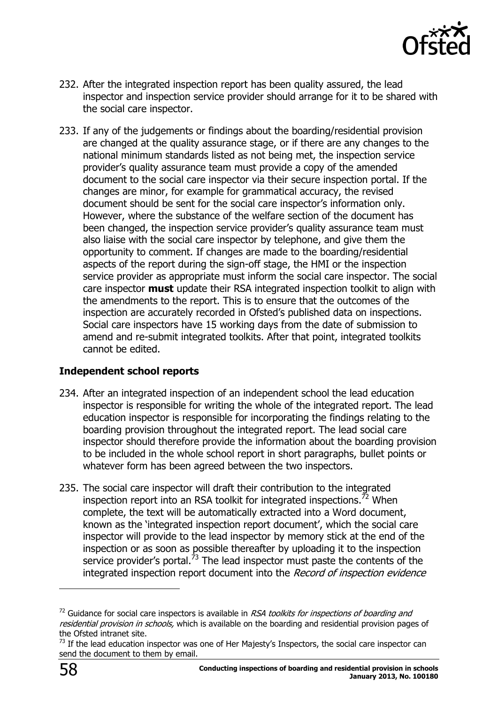

- 232. After the integrated inspection report has been quality assured, the lead inspector and inspection service provider should arrange for it to be shared with the social care inspector.
- 233. If any of the judgements or findings about the boarding/residential provision are changed at the quality assurance stage, or if there are any changes to the national minimum standards listed as not being met, the inspection service provider's quality assurance team must provide a copy of the amended document to the social care inspector via their secure inspection portal. If the changes are minor, for example for grammatical accuracy, the revised document should be sent for the social care inspector's information only. However, where the substance of the welfare section of the document has been changed, the inspection service provider's quality assurance team must also liaise with the social care inspector by telephone, and give them the opportunity to comment. If changes are made to the boarding/residential aspects of the report during the sign-off stage, the HMI or the inspection service provider as appropriate must inform the social care inspector. The social care inspector **must** update their RSA integrated inspection toolkit to align with the amendments to the report. This is to ensure that the outcomes of the inspection are accurately recorded in Ofsted's published data on inspections. Social care inspectors have 15 working days from the date of submission to amend and re-submit integrated toolkits. After that point, integrated toolkits cannot be edited.

#### **Independent school reports**

- 234. After an integrated inspection of an independent school the lead education inspector is responsible for writing the whole of the integrated report. The lead education inspector is responsible for incorporating the findings relating to the boarding provision throughout the integrated report. The lead social care inspector should therefore provide the information about the boarding provision to be included in the whole school report in short paragraphs, bullet points or whatever form has been agreed between the two inspectors.
- 235. The social care inspector will draft their contribution to the integrated inspection report into an RSA toolkit for integrated inspections.<sup>72</sup> When complete, the text will be automatically extracted into a Word document, known as the 'integrated inspection report document', which the social care inspector will provide to the lead inspector by memory stick at the end of the inspection or as soon as possible thereafter by uploading it to the inspection service provider's portal.<sup>73</sup> The lead inspector must paste the contents of the integrated inspection report document into the Record of inspection evidence

j

 $72$  Guidance for social care inspectors is available in RSA toolkits for inspections of boarding and residential provision in schools, which is available on the boarding and residential provision pages of the Ofsted intranet site.

 $73$  If the lead education inspector was one of Her Majesty's Inspectors, the social care inspector can send the document to them by email.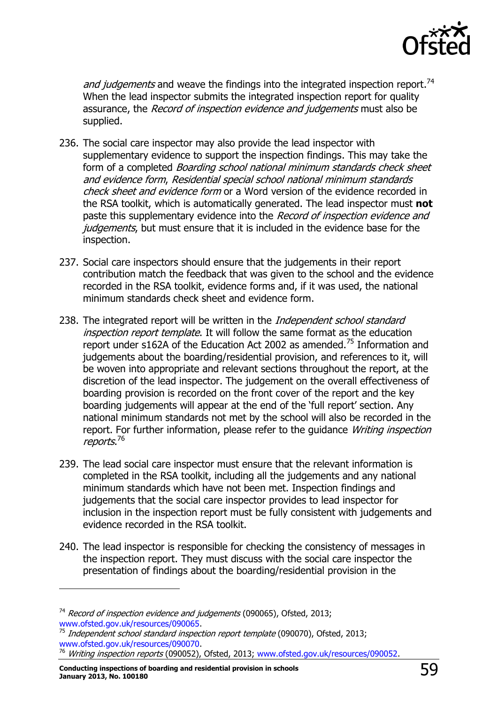

and judgements and weave the findings into the integrated inspection report.<sup>74</sup> When the lead inspector submits the integrated inspection report for quality assurance, the *Record of inspection evidence and judgements* must also be supplied.

- 236. The social care inspector may also provide the lead inspector with supplementary evidence to support the inspection findings. This may take the form of a completed *Boarding school national minimum standards check sheet* and evidence form, Residential special school national minimum standards check sheet and evidence form or a Word version of the evidence recorded in the RSA toolkit, which is automatically generated. The lead inspector must **not**  paste this supplementary evidence into the Record of inspection evidence and judgements, but must ensure that it is included in the evidence base for the inspection.
- 237. Social care inspectors should ensure that the judgements in their report contribution match the feedback that was given to the school and the evidence recorded in the RSA toolkit, evidence forms and, if it was used, the national minimum standards check sheet and evidence form.
- 238. The integrated report will be written in the *Independent school standard* inspection report template. It will follow the same format as the education report under s162A of the Education Act 2002 as amended.<sup>75</sup> Information and judgements about the boarding/residential provision, and references to it, will be woven into appropriate and relevant sections throughout the report, at the discretion of the lead inspector. The judgement on the overall effectiveness of boarding provision is recorded on the front cover of the report and the key boarding judgements will appear at the end of the 'full report' section. Any national minimum standards not met by the school will also be recorded in the report. For further information, please refer to the quidance *Writing inspection* reports.<sup>76</sup>
- 239. The lead social care inspector must ensure that the relevant information is completed in the RSA toolkit, including all the judgements and any national minimum standards which have not been met. Inspection findings and judgements that the social care inspector provides to lead inspector for inclusion in the inspection report must be fully consistent with judgements and evidence recorded in the RSA toolkit.
- 240. The lead inspector is responsible for checking the consistency of messages in the inspection report. They must discuss with the social care inspector the presentation of findings about the boarding/residential provision in the

j

<sup>&</sup>lt;sup>74</sup> Record of inspection evidence and judgements (090065), Ofsted, 2013; [www.ofsted.gov.uk/resources/090065.](http://www.ofsted.gov.uk/resources/record-of-inspection-evidence-and-judgements-roiej-for-standard-inspections-independent-schools)

 $75$  Independent school standard inspection report template (090070), Ofsted, 2013; [www.ofsted.gov.uk/resources/090070.](http://www.ofsted.gov.uk/resources/report-template-standard-independent-schools)

<sup>&</sup>lt;sup>76</sup> Writing inspection reports (090052), Ofsted, 2013; [www.ofsted.gov.uk/resources/090052.](http://www.ofsted.gov.uk/resources/090052)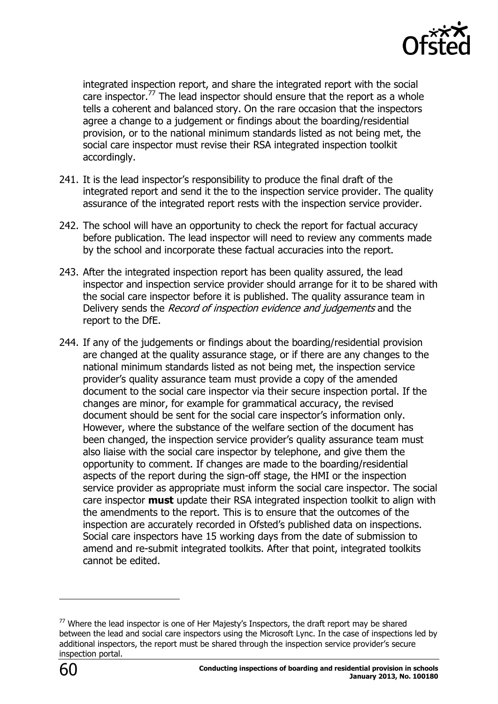

integrated inspection report, and share the integrated report with the social care inspector.<sup>77</sup> The lead inspector should ensure that the report as a whole tells a coherent and balanced story. On the rare occasion that the inspectors agree a change to a judgement or findings about the boarding/residential provision, or to the national minimum standards listed as not being met, the social care inspector must revise their RSA integrated inspection toolkit accordingly.

- 241. It is the lead inspector's responsibility to produce the final draft of the integrated report and send it the to the inspection service provider. The quality assurance of the integrated report rests with the inspection service provider.
- 242. The school will have an opportunity to check the report for factual accuracy before publication. The lead inspector will need to review any comments made by the school and incorporate these factual accuracies into the report.
- 243. After the integrated inspection report has been quality assured, the lead inspector and inspection service provider should arrange for it to be shared with the social care inspector before it is published. The quality assurance team in Delivery sends the *Record of inspection evidence and judgements* and the report to the DfE.
- 244. If any of the judgements or findings about the boarding/residential provision are changed at the quality assurance stage, or if there are any changes to the national minimum standards listed as not being met, the inspection service provider's quality assurance team must provide a copy of the amended document to the social care inspector via their secure inspection portal. If the changes are minor, for example for grammatical accuracy, the revised document should be sent for the social care inspector's information only. However, where the substance of the welfare section of the document has been changed, the inspection service provider's quality assurance team must also liaise with the social care inspector by telephone, and give them the opportunity to comment. If changes are made to the boarding/residential aspects of the report during the sign-off stage, the HMI or the inspection service provider as appropriate must inform the social care inspector. The social care inspector **must** update their RSA integrated inspection toolkit to align with the amendments to the report. This is to ensure that the outcomes of the inspection are accurately recorded in Ofsted's published data on inspections. Social care inspectors have 15 working days from the date of submission to amend and re-submit integrated toolkits. After that point, integrated toolkits cannot be edited.

 $\overline{a}$ 

 $77$  Where the lead inspector is one of Her Majesty's Inspectors, the draft report may be shared between the lead and social care inspectors using the Microsoft Lync. In the case of inspections led by additional inspectors, the report must be shared through the inspection service provider's secure inspection portal.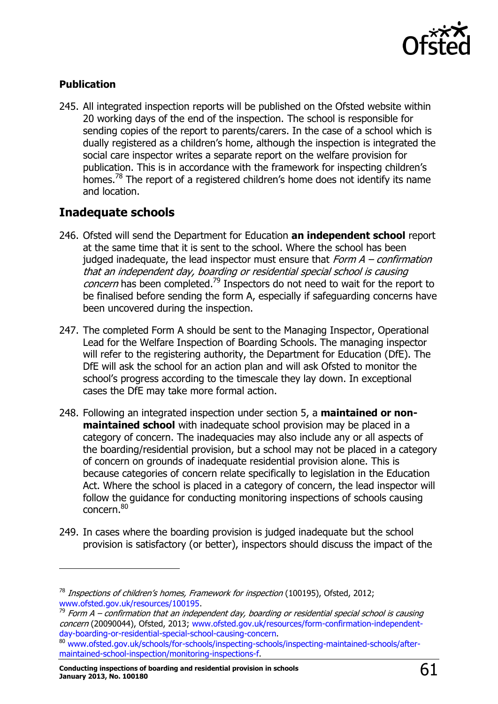

#### **Publication**

-

245. All integrated inspection reports will be published on the Ofsted website within 20 working days of the end of the inspection. The school is responsible for sending copies of the report to parents/carers. In the case of a school which is dually registered as a children's home, although the inspection is integrated the social care inspector writes a separate report on the welfare provision for publication. This is in accordance with the framework for inspecting children's homes.<sup>78</sup> The report of a registered children's home does not identify its name and location.

# <span id="page-60-0"></span>**Inadequate schools**

- 246. Ofsted will send the Department for Education **an independent school** report at the same time that it is sent to the school. Where the school has been judged inadequate, the lead inspector must ensure that  $Form A$  – confirmation that an independent day, boarding or residential special school is causing concern has been completed.<sup>79</sup> Inspectors do not need to wait for the report to be finalised before sending the form A, especially if safeguarding concerns have been uncovered during the inspection.
- 247. The completed Form A should be sent to the Managing Inspector, Operational Lead for the Welfare Inspection of Boarding Schools. The managing inspector will refer to the registering authority, the Department for Education (DfE). The DfE will ask the school for an action plan and will ask Ofsted to monitor the school's progress according to the timescale they lay down. In exceptional cases the DfE may take more formal action.
- 248. Following an integrated inspection under section 5, a **maintained or nonmaintained school** with inadequate school provision may be placed in a category of concern. The inadequacies may also include any or all aspects of the boarding/residential provision, but a school may not be placed in a category of concern on grounds of inadequate residential provision alone. This is because categories of concern relate specifically to legislation in the Education Act. Where the school is placed in a category of concern, the lead inspector will follow the guidance for conducting monitoring inspections of schools causing concern. 80
- 249. In cases where the boarding provision is judged inadequate but the school provision is satisfactory (or better), inspectors should discuss the impact of the

 $78$  Inspections of children's homes, Framework for inspection (100195), Ofsted, 2012; [www.ofsted.gov.uk/resources/100195.](http://www.ofsted.gov.uk/resources/100195)

 $^{79}$  Form A – confirmation that an independent day, boarding or residential special school is causing concern (20090044), Ofsted, 2013; [www.ofsted.gov.uk/resources/form-confirmation-independent](http://www.ofsted.gov.uk/resources/form-confirmation-independent-day-boarding-or-residential-special-school-causing-concern)[day-boarding-or-residential-special-school-causing-concern.](http://www.ofsted.gov.uk/resources/form-confirmation-independent-day-boarding-or-residential-special-school-causing-concern)

<sup>80</sup> [www.ofsted.gov.uk/schools/for-schools/inspecting-schools/inspecting-maintained-schools/after](http://www.ofsted.gov.uk/schools/for-schools/inspecting-schools/inspecting-maintained-schools/after-maintained-school-inspection/monitoring-inspections-f)[maintained-school-inspection/monitoring-inspections-f.](http://www.ofsted.gov.uk/schools/for-schools/inspecting-schools/inspecting-maintained-schools/after-maintained-school-inspection/monitoring-inspections-f)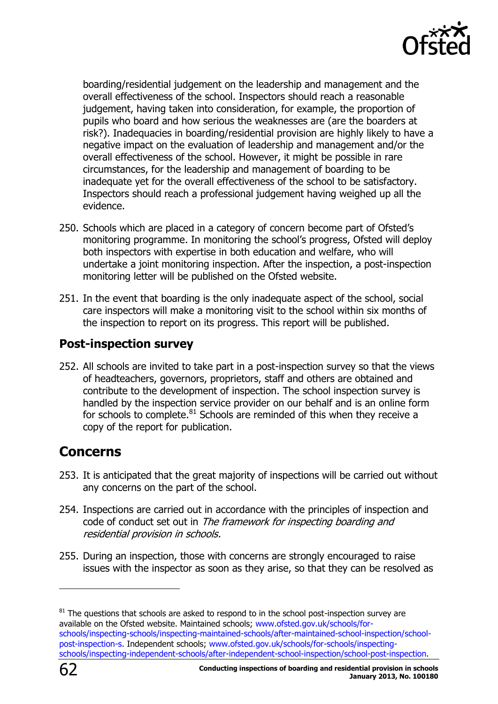

boarding/residential judgement on the leadership and management and the overall effectiveness of the school. Inspectors should reach a reasonable judgement, having taken into consideration, for example, the proportion of pupils who board and how serious the weaknesses are (are the boarders at risk?). Inadequacies in boarding/residential provision are highly likely to have a negative impact on the evaluation of leadership and management and/or the overall effectiveness of the school. However, it might be possible in rare circumstances, for the leadership and management of boarding to be inadequate yet for the overall effectiveness of the school to be satisfactory. Inspectors should reach a professional judgement having weighed up all the evidence.

- 250. Schools which are placed in a category of concern become part of Ofsted's monitoring programme. In monitoring the school's progress, Ofsted will deploy both inspectors with expertise in both education and welfare, who will undertake a joint monitoring inspection. After the inspection, a post-inspection monitoring letter will be published on the Ofsted website.
- 251. In the event that boarding is the only inadequate aspect of the school, social care inspectors will make a monitoring visit to the school within six months of the inspection to report on its progress. This report will be published.

# <span id="page-61-0"></span>**Post-inspection survey**

252. All schools are invited to take part in a post-inspection survey so that the views of headteachers, governors, proprietors, staff and others are obtained and contribute to the development of inspection. The school inspection survey is handled by the inspection service provider on our behalf and is an online form for schools to complete. $81$  Schools are reminded of this when they receive a copy of the report for publication.

# <span id="page-61-1"></span>**Concerns**

- 253. It is anticipated that the great majority of inspections will be carried out without any concerns on the part of the school.
- 254. Inspections are carried out in accordance with the principles of inspection and code of conduct set out in The framework for inspecting boarding and residential provision in schools.
- 255. During an inspection, those with concerns are strongly encouraged to raise issues with the inspector as soon as they arise, so that they can be resolved as

j

 $81$  The questions that schools are asked to respond to in the school post-inspection survey are available on the Ofsted website. Maintained schools; [www.ofsted.gov.uk/schools/for](http://www.ofsted.gov.uk/schools/for-schools/inspecting-schools/inspecting-maintained-schools/after-maintained-school-inspection/school-post-inspection-s)[schools/inspecting-schools/inspecting-maintained-schools/after-maintained-school-inspection/school](http://www.ofsted.gov.uk/schools/for-schools/inspecting-schools/inspecting-maintained-schools/after-maintained-school-inspection/school-post-inspection-s)[post-inspection-s.](http://www.ofsted.gov.uk/schools/for-schools/inspecting-schools/inspecting-maintained-schools/after-maintained-school-inspection/school-post-inspection-s) Independent schools; [www.ofsted.gov.uk/schools/for-schools/inspecting](http://www.ofsted.gov.uk/schools/for-schools/inspecting-schools/inspecting-independent-schools/after-independent-school-inspection/school-post-inspection)[schools/inspecting-independent-schools/after-independent-school-inspection/school-post-inspection.](http://www.ofsted.gov.uk/schools/for-schools/inspecting-schools/inspecting-independent-schools/after-independent-school-inspection/school-post-inspection)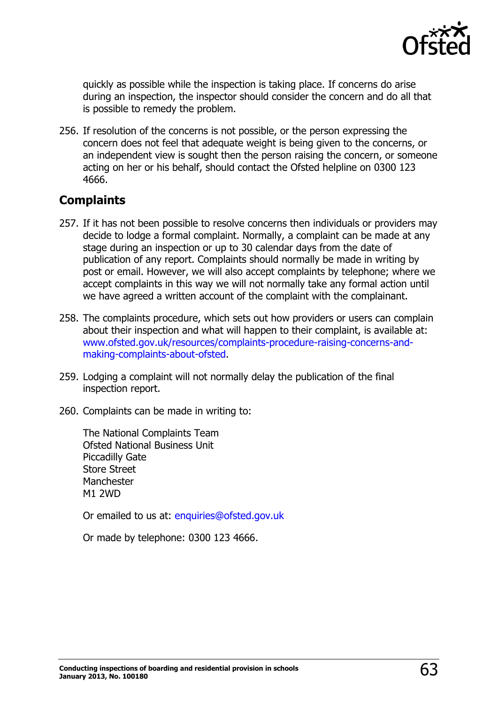

quickly as possible while the inspection is taking place. If concerns do arise during an inspection, the inspector should consider the concern and do all that is possible to remedy the problem.

256. If resolution of the concerns is not possible, or the person expressing the concern does not feel that adequate weight is being given to the concerns, or an independent view is sought then the person raising the concern, or someone acting on her or his behalf, should contact the Ofsted helpline on 0300 123 4666.

# <span id="page-62-0"></span>**Complaints**

- 257. If it has not been possible to resolve concerns then individuals or providers may decide to lodge a formal complaint. Normally, a complaint can be made at any stage during an inspection or up to 30 calendar days from the date of publication of any report. Complaints should normally be made in writing by post or email. However, we will also accept complaints by telephone; where we accept complaints in this way we will not normally take any formal action until we have agreed a written account of the complaint with the complainant.
- 258. The complaints procedure, which sets out how providers or users can complain about their inspection and what will happen to their complaint, is available at: [www.ofsted.gov.uk/resources/complaints-procedure-raising-concerns-and](http://www.ofsted.gov.uk/resources/complaints-procedure-raising-concerns-and-making-complaints-about-ofsted)[making-complaints-about-ofsted.](http://www.ofsted.gov.uk/resources/complaints-procedure-raising-concerns-and-making-complaints-about-ofsted)
- 259. Lodging a complaint will not normally delay the publication of the final inspection report.
- 260. Complaints can be made in writing to:

The National Complaints Team Ofsted National Business Unit Piccadilly Gate Store Street **Manchester** M1 2WD

Or emailed to us at: [enquiries@ofsted.gov.uk](mailto:enquiries@ofsted.gov.uk)

Or made by telephone: 0300 123 4666.